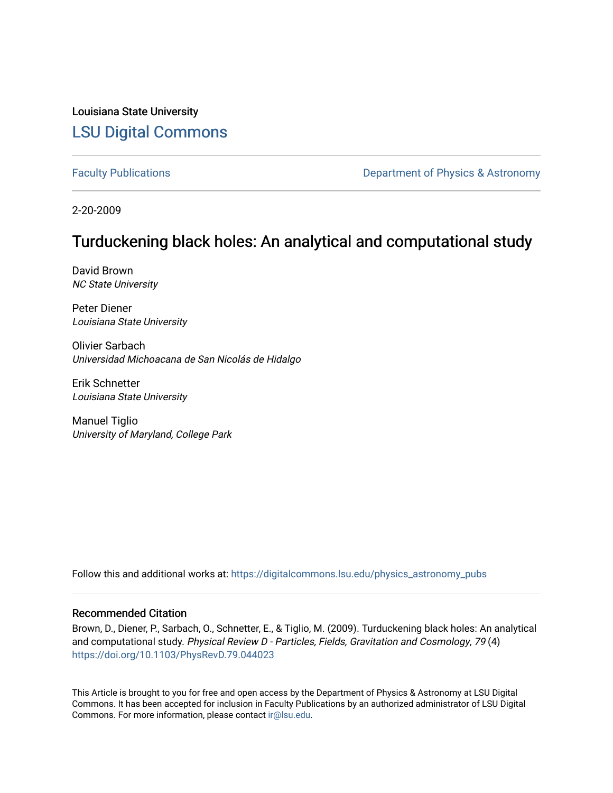Louisiana State University [LSU Digital Commons](https://digitalcommons.lsu.edu/)

[Faculty Publications](https://digitalcommons.lsu.edu/physics_astronomy_pubs) **Exercise 2 and Table 2 and Table 2 and Table 2 and Table 2 and Table 2 and Table 2 and Table 2 and Table 2 and Table 2 and Table 2 and Table 2 and Table 2 and Table 2 and Table 2 and Table 2 and Table** 

2-20-2009

# Turduckening black holes: An analytical and computational study

David Brown NC State University

Peter Diener Louisiana State University

Olivier Sarbach Universidad Michoacana de San Nicolás de Hidalgo

Erik Schnetter Louisiana State University

Manuel Tiglio University of Maryland, College Park

Follow this and additional works at: [https://digitalcommons.lsu.edu/physics\\_astronomy\\_pubs](https://digitalcommons.lsu.edu/physics_astronomy_pubs?utm_source=digitalcommons.lsu.edu%2Fphysics_astronomy_pubs%2F1440&utm_medium=PDF&utm_campaign=PDFCoverPages) 

# Recommended Citation

Brown, D., Diener, P., Sarbach, O., Schnetter, E., & Tiglio, M. (2009). Turduckening black holes: An analytical and computational study. Physical Review D - Particles, Fields, Gravitation and Cosmology, 79 (4) <https://doi.org/10.1103/PhysRevD.79.044023>

This Article is brought to you for free and open access by the Department of Physics & Astronomy at LSU Digital Commons. It has been accepted for inclusion in Faculty Publications by an authorized administrator of LSU Digital Commons. For more information, please contact [ir@lsu.edu](mailto:ir@lsu.edu).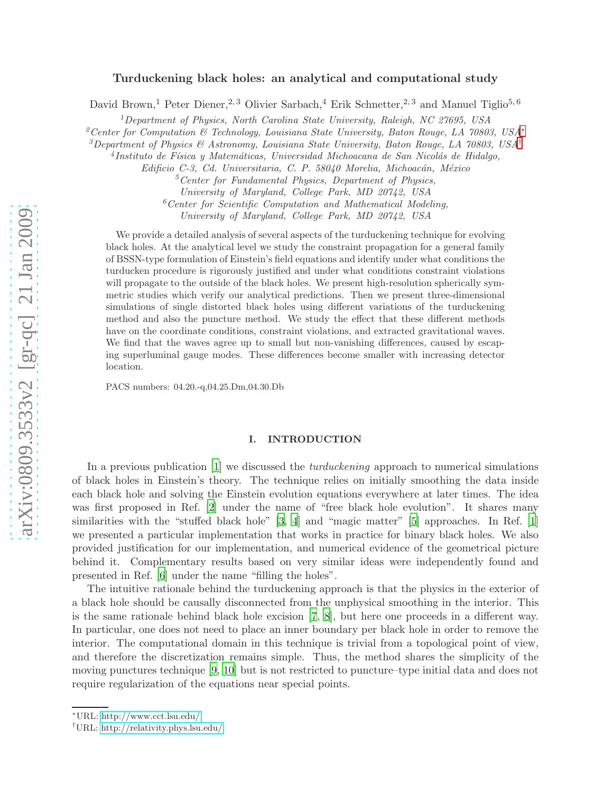# arXiv:0809.3533v2 [gr-qc] 21 Jan 2009 [arXiv:0809.3533v2 \[gr-qc\] 21 Jan 2009](http://arxiv.org/abs/0809.3533v2)

# Turduckening black holes: an analytical and computational study

David Brown,<sup>1</sup> Peter Diener,<sup>2, 3</sup> Olivier Sarbach,<sup>4</sup> Erik Schnetter,<sup>2, 3</sup> and Manuel Tiglio<sup>5, 6</sup>

<sup>1</sup>Department of Physics, North Carolina State University, Raleigh, NC 27695, USA

<sup>2</sup>Center for Computation & Technology, Louisiana State University, Baton Rouge, LA 70803, USA [∗](#page-1-0)

<sup>3</sup>Department of Physics & Astronomy, Louisiana State University, Baton Rouge, LA 70803, USA<sup>[†](#page-1-1)</sup>

<sup>4</sup>Instituto de Física y Matemáticas, Universidad Michoacana de San Nicolás de Hidalgo,

Edificio C-3, Cd. Universitaria, C. P. 58040 Morelia, Michoacán, México

 ${}^{5}$ Center for Fundamental Physics, Department of Physics,

University of Maryland, College Park, MD 20742, USA

 $6$ Center for Scientific Computation and Mathematical Modeling,

University of Maryland, College Park, MD 20742, USA

We provide a detailed analysis of several aspects of the turduckening technique for evolving black holes. At the analytical level we study the constraint propagation for a general family of BSSN-type formulation of Einstein's field equations and identify under what conditions the turducken procedure is rigorously justified and under what conditions constraint violations will propagate to the outside of the black holes. We present high-resolution spherically symmetric studies which verify our analytical predictions. Then we present three-dimensional simulations of single distorted black holes using different variations of the turduckening method and also the puncture method. We study the effect that these different methods have on the coordinate conditions, constraint violations, and extracted gravitational waves. We find that the waves agree up to small but non-vanishing differences, caused by escaping superluminal gauge modes. These differences become smaller with increasing detector location.

PACS numbers: 04.20.-q,04.25.Dm,04.30.Db

### I. INTRODUCTION

In a previous publication  $[1]$  we discussed the *turduckening* approach to numerical simulations of black holes in Einstein's theory. The technique relies on initially smoothing the data inside each black hole and solving the Einstein evolution equations everywhere at later times. The idea was first proposed in Ref. [\[2\]](#page-26-1) under the name of "free black hole evolution". It shares many similarities with the "stuffed black hole" [\[3](#page-26-2), [4](#page-26-3)] and "magic matter" [\[5](#page-26-4)] approaches. In Ref. [\[1](#page-26-0)] we presented a particular implementation that works in practice for binary black holes. We also provided justification for our implementation, and numerical evidence of the geometrical picture behind it. Complementary results based on very similar ideas were independently found and presented in Ref. [\[6\]](#page-26-5) under the name "filling the holes".

The intuitive rationale behind the turduckening approach is that the physics in the exterior of a black hole should be causally disconnected from the unphysical smoothing in the interior. This is the same rationale behind black hole excision [\[7,](#page-26-6) [8\]](#page-26-7), but here one proceeds in a different way. In particular, one does not need to place an inner boundary per black hole in order to remove the interior. The computational domain in this technique is trivial from a topological point of view, and therefore the discretization remains simple. Thus, the method shares the simplicity of the moving punctures technique [\[9,](#page-26-8) [10](#page-26-9)] but is not restricted to puncture–type initial data and does not require regularization of the equations near special points.

<span id="page-1-0"></span><sup>∗</sup>URL:<http://www.cct.lsu.edu/>

<span id="page-1-1"></span><sup>†</sup>URL:<http://relativity.phys.lsu.edu/>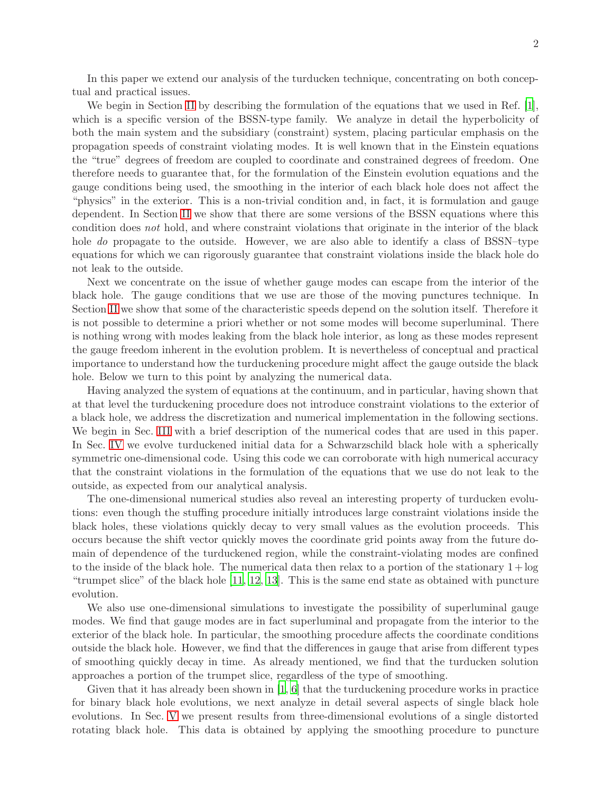In this paper we extend our analysis of the turducken technique, concentrating on both conceptual and practical issues.

We begin in Section [II](#page-3-0) by describing the formulation of the equations that we used in Ref. [\[1](#page-26-0)], which is a specific version of the BSSN-type family. We analyze in detail the hyperbolicity of both the main system and the subsidiary (constraint) system, placing particular emphasis on the propagation speeds of constraint violating modes. It is well known that in the Einstein equations the "true" degrees of freedom are coupled to coordinate and constrained degrees of freedom. One therefore needs to guarantee that, for the formulation of the Einstein evolution equations and the gauge conditions being used, the smoothing in the interior of each black hole does not affect the "physics" in the exterior. This is a non-trivial condition and, in fact, it is formulation and gauge dependent. In Section [II](#page-3-0) we show that there are some versions of the BSSN equations where this condition does not hold, and where constraint violations that originate in the interior of the black hole *do* propagate to the outside. However, we are also able to identify a class of BSSN–type equations for which we can rigorously guarantee that constraint violations inside the black hole do not leak to the outside.

Next we concentrate on the issue of whether gauge modes can escape from the interior of the black hole. The gauge conditions that we use are those of the moving punctures technique. In Section [II](#page-3-0) we show that some of the characteristic speeds depend on the solution itself. Therefore it is not possible to determine a priori whether or not some modes will become superluminal. There is nothing wrong with modes leaking from the black hole interior, as long as these modes represent the gauge freedom inherent in the evolution problem. It is nevertheless of conceptual and practical importance to understand how the turduckening procedure might affect the gauge outside the black hole. Below we turn to this point by analyzing the numerical data.

Having analyzed the system of equations at the continuum, and in particular, having shown that at that level the turduckening procedure does not introduce constraint violations to the exterior of a black hole, we address the discretization and numerical implementation in the following sections. We begin in Sec. [III](#page-10-0) with a brief description of the numerical codes that are used in this paper. In Sec. [IV](#page-11-0) we evolve turduckened initial data for a Schwarzschild black hole with a spherically symmetric one-dimensional code. Using this code we can corroborate with high numerical accuracy that the constraint violations in the formulation of the equations that we use do not leak to the outside, as expected from our analytical analysis.

The one-dimensional numerical studies also reveal an interesting property of turducken evolutions: even though the stuffing procedure initially introduces large constraint violations inside the black holes, these violations quickly decay to very small values as the evolution proceeds. This occurs because the shift vector quickly moves the coordinate grid points away from the future domain of dependence of the turduckened region, while the constraint-violating modes are confined to the inside of the black hole. The numerical data then relax to a portion of the stationary  $1 + \log$ "trumpet slice" of the black hole [\[11](#page-26-10), [12](#page-26-11), [13](#page-26-12)]. This is the same end state as obtained with puncture evolution.

We also use one-dimensional simulations to investigate the possibility of superluminal gauge modes. We find that gauge modes are in fact superluminal and propagate from the interior to the exterior of the black hole. In particular, the smoothing procedure affects the coordinate conditions outside the black hole. However, we find that the differences in gauge that arise from different types of smoothing quickly decay in time. As already mentioned, we find that the turducken solution approaches a portion of the trumpet slice, regardless of the type of smoothing.

Given that it has already been shown in  $\left[1, 6\right]$  that the turduckening procedure works in practice for binary black hole evolutions, we next analyze in detail several aspects of single black hole evolutions. In Sec. [V](#page-18-0) we present results from three-dimensional evolutions of a single distorted rotating black hole. This data is obtained by applying the smoothing procedure to puncture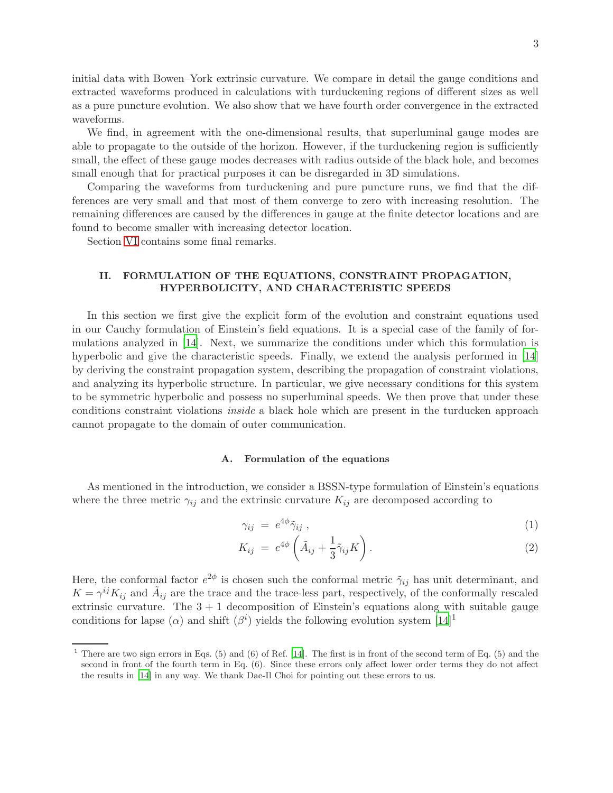initial data with Bowen–York extrinsic curvature. We compare in detail the gauge conditions and extracted waveforms produced in calculations with turduckening regions of different sizes as well as a pure puncture evolution. We also show that we have fourth order convergence in the extracted waveforms.

We find, in agreement with the one-dimensional results, that superluminal gauge modes are able to propagate to the outside of the horizon. However, if the turduckening region is sufficiently small, the effect of these gauge modes decreases with radius outside of the black hole, and becomes small enough that for practical purposes it can be disregarded in 3D simulations.

Comparing the waveforms from turduckening and pure puncture runs, we find that the differences are very small and that most of them converge to zero with increasing resolution. The remaining differences are caused by the differences in gauge at the finite detector locations and are found to become smaller with increasing detector location.

Section [VI](#page-24-0) contains some final remarks.

## <span id="page-3-0"></span>II. FORMULATION OF THE EQUATIONS, CONSTRAINT PROPAGATION, HYPERBOLICITY, AND CHARACTERISTIC SPEEDS

In this section we first give the explicit form of the evolution and constraint equations used in our Cauchy formulation of Einstein's field equations. It is a special case of the family of formulations analyzed in [\[14](#page-26-13)]. Next, we summarize the conditions under which this formulation is hyperbolic and give the characteristic speeds. Finally, we extend the analysis performed in [\[14](#page-26-13)] by deriving the constraint propagation system, describing the propagation of constraint violations, and analyzing its hyperbolic structure. In particular, we give necessary conditions for this system to be symmetric hyperbolic and possess no superluminal speeds. We then prove that under these conditions constraint violations inside a black hole which are present in the turducken approach cannot propagate to the domain of outer communication.

### A. Formulation of the equations

As mentioned in the introduction, we consider a BSSN-type formulation of Einstein's equations where the three metric  $\gamma_{ij}$  and the extrinsic curvature  $K_{ij}$  are decomposed according to

$$
\gamma_{ij} = e^{4\phi} \tilde{\gamma}_{ij} \tag{1}
$$

$$
K_{ij} = e^{4\phi} \left( \tilde{A}_{ij} + \frac{1}{3} \tilde{\gamma}_{ij} K \right).
$$
 (2)

Here, the conformal factor  $e^{2\phi}$  is chosen such the conformal metric  $\tilde{\gamma}_{ij}$  has unit determinant, and  $K = \gamma^{ij} K_{ij}$  and  $\tilde{A}_{ij}$  are the trace and the trace-less part, respectively, of the conformally rescaled extrinsic curvature. The  $3 + 1$  decomposition of Einstein's equations along with suitable gauge conditions for lapse ( $\alpha$ ) and shift ( $\beta^{i}$ ) yields the following evolution system [\[14](#page-26-13)]<sup>1</sup>

<sup>&</sup>lt;sup>1</sup> There are two sign errors in Eqs.  $(5)$  and  $(6)$  of Ref. [\[14](#page-26-13)]. The first is in front of the second term of Eq.  $(5)$  and the second in front of the fourth term in Eq. (6). Since these errors only affect lower order terms they do not affect the results in [\[14\]](#page-26-13) in any way. We thank Dae-Il Choi for pointing out these errors to us.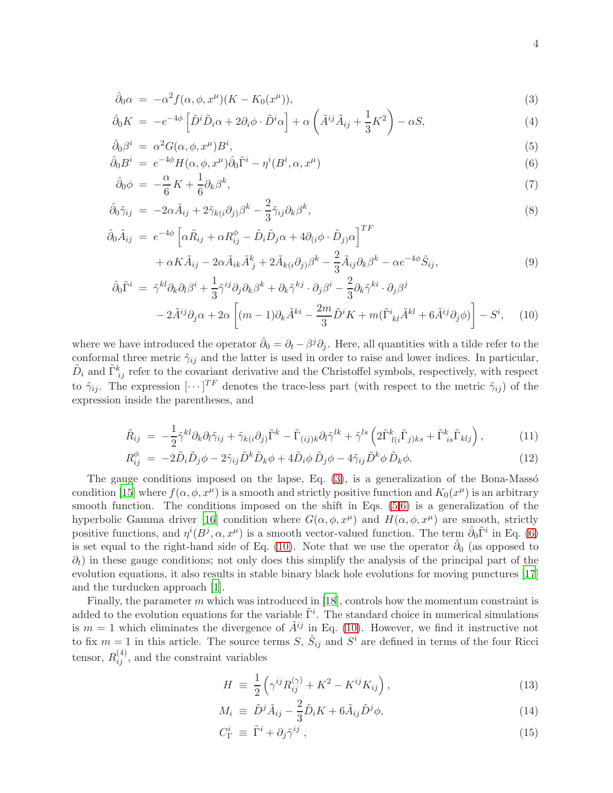<span id="page-4-0"></span>
$$
\hat{\partial}_0 \alpha = -\alpha^2 f(\alpha, \phi, x^\mu)(K - K_0(x^\mu)),\tag{3}
$$

$$
\hat{\partial}_0 K = -e^{-4\phi} \left[ \tilde{D}^i \tilde{D}_i \alpha + 2\partial_i \phi \cdot \tilde{D}^i \alpha \right] + \alpha \left( \tilde{A}^{ij} \tilde{A}_{ij} + \frac{1}{3} K^2 \right) - \alpha S, \tag{4}
$$

$$
\hat{\partial}_0 \beta^i = \alpha^2 G(\alpha, \phi, x^{\mu}) B^i, \tag{5}
$$

$$
\hat{\partial}_0 B^i = e^{-4\phi} H(\alpha, \phi, x^{\mu}) \hat{\partial}_0 \tilde{\Gamma}^i - \eta^i (B^i, \alpha, x^{\mu})
$$
\n(6)

$$
\hat{\partial}_0 \phi = -\frac{\alpha}{6} K + \frac{1}{6} \partial_k \beta^k, \tag{7}
$$

$$
\hat{\partial}_0 \tilde{\gamma}_{ij} = -2\alpha \tilde{A}_{ij} + 2\tilde{\gamma}_{k(i}\partial_j)\beta^k - \frac{2}{3}\tilde{\gamma}_{ij}\partial_k\beta^k, \tag{8}
$$

$$
\hat{\partial}_0 \tilde{A}_{ij} = e^{-4\phi} \left[ \alpha \tilde{R}_{ij} + \alpha R_{ij}^{\phi} - \tilde{D}_i \tilde{D}_j \alpha + 4 \partial_{(i} \phi \cdot \tilde{D}_j \alpha \right]^{TF} + \alpha K \tilde{A}_{ij} - 2 \alpha \tilde{A}_{ik} \tilde{A}_{j}^k + 2 \tilde{A}_{k(i} \partial_j) \beta^k - \frac{2}{3} \tilde{A}_{ij} \partial_k \beta^k - \alpha e^{-4\phi} \hat{S}_{ij}, \tag{9}
$$

$$
\hat{\partial}_{0}\tilde{\Gamma}^{i} = \tilde{\gamma}^{kl}\partial_{k}\partial_{l}\beta^{i} + \frac{1}{3}\tilde{\gamma}^{ij}\partial_{j}\partial_{k}\beta^{k} + \partial_{k}\tilde{\gamma}^{kj}\cdot\partial_{j}\beta^{i} - \frac{2}{3}\partial_{k}\tilde{\gamma}^{ki}\cdot\partial_{j}\beta^{j}
$$

$$
-2\tilde{A}^{ij}\partial_{j}\alpha + 2\alpha\left[ (m-1)\partial_{k}\tilde{A}^{ki} - \frac{2m}{3}\tilde{D}^{i}K + m(\tilde{\Gamma}^{i}_{kl}\tilde{A}^{kl} + 6\tilde{A}^{ij}\partial_{j}\phi) \right] - S^{i}, \quad (10)
$$

where we have introduced the operator  $\hat{\partial}_0 = \partial_t - \beta^j \partial_j$ . Here, all quantities with a tilde refer to the conformal three metric  $\tilde{\gamma}_{ij}$  and the latter is used in order to raise and lower indices. In particular,  $\tilde{D}_i$  and  $\tilde{\Gamma}^k_{ij}$  refer to the covariant derivative and the Christoffel symbols, respectively, with respect to  $\tilde{\gamma}_{ij}$ . The expression  $[\cdots]^{TF}$  denotes the trace-less part (with respect to the metric  $\tilde{\gamma}_{ij}$ ) of the expression inside the parentheses, and

$$
\tilde{R}_{ij} = -\frac{1}{2}\tilde{\gamma}^{kl}\partial_k\partial_l\tilde{\gamma}_{ij} + \tilde{\gamma}_{k(i}\partial_j)\tilde{\Gamma}^k - \tilde{\Gamma}_{(ij)k}\partial_l\tilde{\gamma}^{lk} + \tilde{\gamma}^{ls}\left(2\tilde{\Gamma}^k_{l(i}\tilde{\Gamma}_{j)ks} + \tilde{\Gamma}^k_{is}\tilde{\Gamma}_{klj}\right),\tag{11}
$$

$$
R_{ij}^{\phi} = -2\tilde{D}_i\tilde{D}_j\phi - 2\tilde{\gamma}_{ij}\tilde{D}^k\tilde{D}_k\phi + 4\tilde{D}_i\phi\tilde{D}_j\phi - 4\tilde{\gamma}_{ij}\tilde{D}^k\phi\tilde{D}_k\phi.
$$
\n(12)

The gauge conditions imposed on the lapse, Eq.  $(3)$ , is a generalization of the Bona-Masso condition [\[15\]](#page-26-14) where  $f(\alpha, \phi, x^{\mu})$  is a smooth and strictly positive function and  $K_0(x^{\mu})$  is an arbitrary smooth function. The conditions imposed on the shift in Eqs.  $(5,6)$  is a generalization of the hyperbolic Gamma driver [\[16](#page-26-15)] condition where  $G(\alpha, \phi, x^{\mu})$  and  $H(\alpha, \phi, x^{\mu})$  are smooth, strictly positive functions, and  $\eta^{i}(B^j, \alpha, x^{\mu})$  is a smooth vector-valued function. The term  $\hat{\partial}_0 \tilde{\Gamma}^i$  in Eq. [\(6\)](#page-4-0) is set equal to the right-hand side of Eq. [\(10\)](#page-4-0). Note that we use the operator  $\hat{\partial}_0$  (as opposed to  $\partial_t$ ) in these gauge conditions; not only does this simplify the analysis of the principal part of the evolution equations, it also results in stable binary black hole evolutions for moving punctures [\[17](#page-26-16)] and the turducken approach [\[1\]](#page-26-0).

Finally, the parameter m which was introduced in [\[18](#page-26-17)], controls how the momentum constraint is added to the evolution equations for the variable  $\tilde{\Gamma}^i$ . The standard choice in numerical simulations is  $m = 1$  which eliminates the divergence of  $\tilde{A}^{ij}$  in Eq. [\(10\)](#page-4-0). However, we find it instructive not to fix  $m = 1$  in this article. The source terms S,  $\hat{S}_{ij}$  and  $S^i$  are defined in terms of the four Ricci tensor,  $R_{ij}^{(4)}$ , and the constraint variables

<span id="page-4-1"></span>
$$
H = \frac{1}{2} \left( \gamma^{ij} R_{ij}^{(\gamma)} + K^2 - K^{ij} K_{ij} \right), \tag{13}
$$

$$
M_i \equiv \tilde{D}^j \tilde{A}_{ij} - \frac{2}{3} \tilde{D}_i K + 6 \tilde{A}_{ij} \tilde{D}^j \phi,
$$
\n(14)

$$
C_{\Gamma}^{i} \equiv \tilde{\Gamma}^{i} + \partial_{j} \tilde{\gamma}^{ij} , \qquad (15)
$$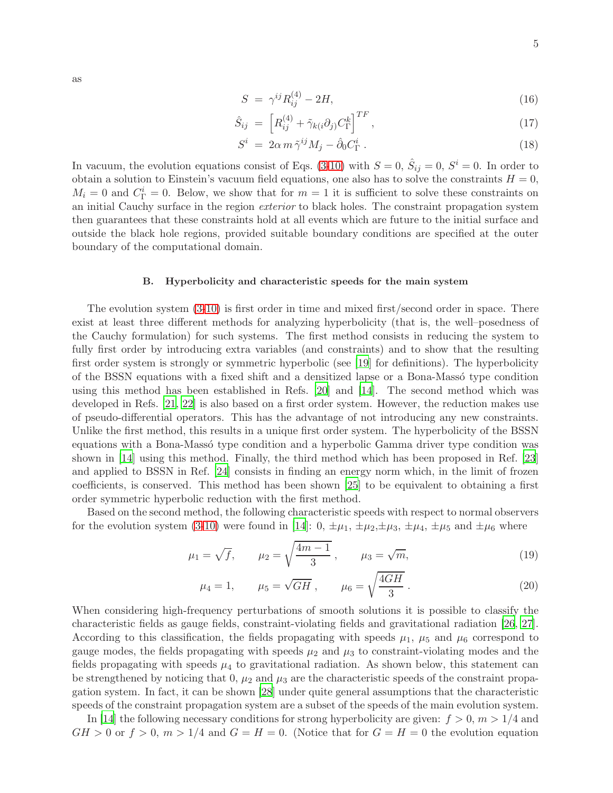<span id="page-5-0"></span>
$$
S = \gamma^{ij} R_{ij}^{(4)} - 2H,\tag{16}
$$

$$
\hat{S}_{ij} = \left[ R_{ij}^{(4)} + \tilde{\gamma}_{k(i}\partial_j) C_{\Gamma}^k \right]^{TF}, \qquad (17)
$$

$$
S^i = 2\alpha m \tilde{\gamma}^{ij} M_j - \hat{\partial}_0 C^i_{\Gamma} . \qquad (18)
$$

In vacuum, the evolution equations consist of Eqs. [\(3-10\)](#page-4-0) with  $S=0$ ,  $\hat{S}_{ij}=0$ ,  $S^i=0$ . In order to obtain a solution to Einstein's vacuum field equations, one also has to solve the constraints  $H = 0$ ,  $M_i = 0$  and  $C_{\Gamma}^i = 0$ . Below, we show that for  $m = 1$  it is sufficient to solve these constraints on an initial Cauchy surface in the region exterior to black holes. The constraint propagation system then guarantees that these constraints hold at all events which are future to the initial surface and outside the black hole regions, provided suitable boundary conditions are specified at the outer boundary of the computational domain.

### <span id="page-5-1"></span>B. Hyperbolicity and characteristic speeds for the main system

The evolution system [\(3-10\)](#page-4-0) is first order in time and mixed first/second order in space. There exist at least three different methods for analyzing hyperbolicity (that is, the well–posedness of the Cauchy formulation) for such systems. The first method consists in reducing the system to fully first order by introducing extra variables (and constraints) and to show that the resulting first order system is strongly or symmetric hyperbolic (see [\[19](#page-26-18)] for definitions). The hyperbolicity of the BSSN equations with a fixed shift and a densitized lapse or a Bona-Masso type condition using this method has been established in Refs. [\[20](#page-26-19)] and [\[14\]](#page-26-13). The second method which was developed in Refs. [\[21,](#page-26-20) [22](#page-26-21)] is also based on a first order system. However, the reduction makes use of pseudo-differential operators. This has the advantage of not introducing any new constraints. Unlike the first method, this results in a unique first order system. The hyperbolicity of the BSSN equations with a Bona-Massó type condition and a hyperbolic Gamma driver type condition was shown in [\[14](#page-26-13)] using this method. Finally, the third method which has been proposed in Ref. [\[23](#page-27-0)] and applied to BSSN in Ref. [\[24](#page-27-1)] consists in finding an energy norm which, in the limit of frozen coefficients, is conserved. This method has been shown [\[25\]](#page-27-2) to be equivalent to obtaining a first order symmetric hyperbolic reduction with the first method.

Based on the second method, the following characteristic speeds with respect to normal observers for the evolution system [\(3-10\)](#page-4-0) were found in [\[14](#page-26-13)]:  $0, \pm \mu_1, \pm \mu_2, \pm \mu_3, \pm \mu_4, \pm \mu_5$  and  $\pm \mu_6$  where

$$
\mu_1 = \sqrt{f}
$$
,  $\mu_2 = \sqrt{\frac{4m-1}{3}}$ ,  $\mu_3 = \sqrt{m}$ , (19)

$$
\mu_4 = 1,
$$
\n $\mu_5 = \sqrt{GH},$ \n $\mu_6 = \sqrt{\frac{4GH}{3}}.$ \n(20)

When considering high-frequency perturbations of smooth solutions it is possible to classify the characteristic fields as gauge fields, constraint-violating fields and gravitational radiation [\[26](#page-27-3), [27](#page-27-4)]. According to this classification, the fields propagating with speeds  $\mu_1$ ,  $\mu_5$  and  $\mu_6$  correspond to gauge modes, the fields propagating with speeds  $\mu_2$  and  $\mu_3$  to constraint-violating modes and the fields propagating with speeds  $\mu_4$  to gravitational radiation. As shown below, this statement can be strengthened by noticing that  $0, \mu_2$  and  $\mu_3$  are the characteristic speeds of the constraint propagation system. In fact, it can be shown [\[28](#page-27-5)] under quite general assumptions that the characteristic speeds of the constraint propagation system are a subset of the speeds of the main evolution system.

In [\[14\]](#page-26-13) the following necessary conditions for strong hyperbolicity are given:  $f > 0$ ,  $m > 1/4$  and  $GH > 0$  or  $f > 0$ ,  $m > 1/4$  and  $G = H = 0$ . (Notice that for  $G = H = 0$  the evolution equation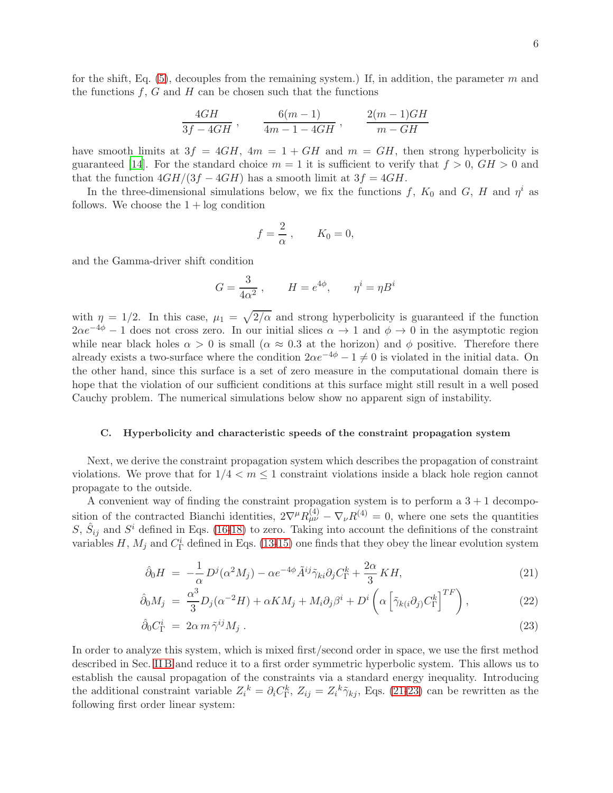6

for the shift, Eq. [\(5\)](#page-4-0), decouples from the remaining system.) If, in addition, the parameter m and the functions  $f, G$  and  $H$  can be chosen such that the functions

$$
\frac{4GH}{3f - 4GH}, \qquad \frac{6(m-1)}{4m - 1 - 4GH}, \qquad \frac{2(m-1)GH}{m - GH}
$$

have smooth limits at  $3f = 4GH$ ,  $4m = 1 + GH$  and  $m = GH$ , then strong hyperbolicity is guaranteed [\[14](#page-26-13)]. For the standard choice  $m = 1$  it is sufficient to verify that  $f > 0$ ,  $GH > 0$  and that the function  $4GH/(3f-4GH)$  has a smooth limit at  $3f = 4GH$ .

In the three-dimensional simulations below, we fix the functions f,  $K_0$  and  $G$ , H and  $\eta^i$  as follows. We choose the  $1 + \log$  condition

$$
f=\frac{2}{\alpha}\,,\qquad K_0=0,
$$

and the Gamma-driver shift condition

$$
G = \frac{3}{4\alpha^2} , \qquad H = e^{4\phi} , \qquad \eta^i = \eta B^i
$$

with  $\eta = 1/2$ . In this case,  $\mu_1 = \sqrt{2/\alpha}$  and strong hyperbolicity is guaranteed if the function  $2\alpha e^{-4\phi} - 1$  does not cross zero. In our initial slices  $\alpha \to 1$  and  $\phi \to 0$  in the asymptotic region while near black holes  $\alpha > 0$  is small  $(\alpha \approx 0.3$  at the horizon) and  $\phi$  positive. Therefore there already exists a two-surface where the condition  $2\alpha e^{-4\phi} - 1 \neq 0$  is violated in the initial data. On the other hand, since this surface is a set of zero measure in the computational domain there is hope that the violation of our sufficient conditions at this surface might still result in a well posed Cauchy problem. The numerical simulations below show no apparent sign of instability.

### C. Hyperbolicity and characteristic speeds of the constraint propagation system

Next, we derive the constraint propagation system which describes the propagation of constraint violations. We prove that for  $1/4 < m \leq 1$  constraint violations inside a black hole region cannot propagate to the outside.

A convenient way of finding the constraint propagation system is to perform a  $3 + 1$  decomposition of the contracted Bianchi identities,  $2\nabla^{\mu}R_{\mu\nu}^{(4)} - \nabla_{\nu}R^{(4)} = 0$ , where one sets the quantities S,  $\hat{S}_{ij}$  and  $S^i$  defined in Eqs. [\(16-18\)](#page-5-0) to zero. Taking into account the definitions of the constraint variables H,  $M_j$  and  $C_{\Gamma}^i$  defined in Eqs. [\(13-15\)](#page-4-1) one finds that they obey the linear evolution system

<span id="page-6-0"></span>
$$
\hat{\partial}_0 H = -\frac{1}{\alpha} D^j (\alpha^2 M_j) - \alpha e^{-4\phi} \tilde{A}^{ij} \tilde{\gamma}_{ki} \partial_j C^k_{\Gamma} + \frac{2\alpha}{3} K H, \tag{21}
$$

$$
\hat{\partial}_0 M_j = \frac{\alpha^3}{3} D_j (\alpha^{-2} H) + \alpha K M_j + M_i \partial_j \beta^i + D^i \left( \alpha \left[ \tilde{\gamma}_{k(i} \partial_j C^k_{\Gamma} \right]^{TF} \right), \tag{22}
$$

$$
\hat{\partial}_0 C^i_{\Gamma} = 2\alpha \, m \, \tilde{\gamma}^{ij} M_j \,. \tag{23}
$$

In order to analyze this system, which is mixed first/second order in space, we use the first method described in Sec. [II B](#page-5-1) and reduce it to a first order symmetric hyperbolic system. This allows us to establish the causal propagation of the constraints via a standard energy inequality. Introducing the additional constraint variable  $Z_i^k = \partial_i C_{\Gamma}^k$ ,  $Z_{ij} = Z_i^k \tilde{\gamma}_{kj}$ , Eqs. [\(21-23\)](#page-6-0) can be rewritten as the following first order linear system: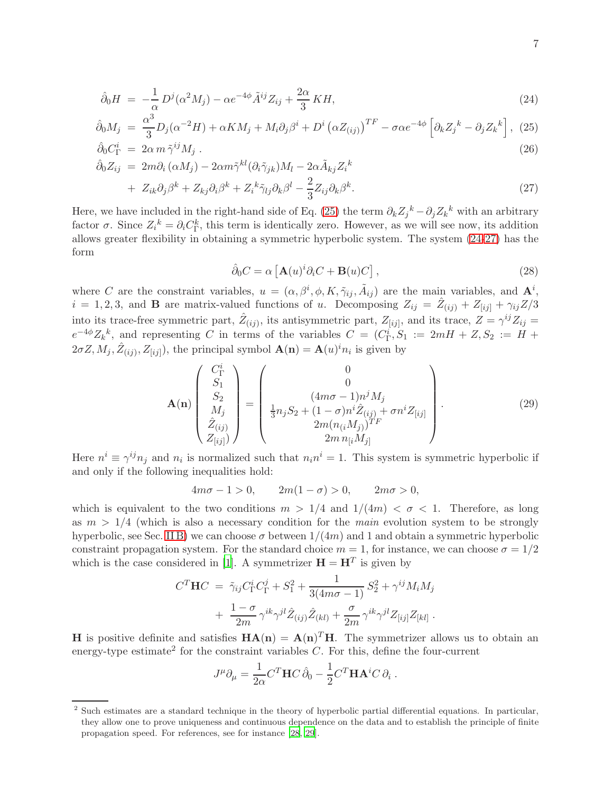<span id="page-7-0"></span>
$$
\hat{\partial}_0 H = -\frac{1}{\alpha} D^j (\alpha^2 M_j) - \alpha e^{-4\phi} \tilde{A}^{ij} Z_{ij} + \frac{2\alpha}{3} K H,\tag{24}
$$

$$
\hat{\partial}_0 M_j = \frac{\alpha^3}{3} D_j (\alpha^{-2} H) + \alpha K M_j + M_i \partial_j \beta^i + D^i (\alpha Z_{(ij)})^{TF} - \sigma \alpha e^{-4\phi} \left[ \partial_k Z_j^k - \partial_j Z_k^k \right], \tag{25}
$$
  

$$
\hat{\partial}_0 C_\Gamma^i = 2\alpha m \tilde{\gamma}^{ij} M_j .
$$

$$
\begin{aligned}\n\hat{\partial}_0 Z_{ij} &= 2m\partial_i \left( \alpha M_j \right) - 2\alpha m \tilde{\gamma}^{kl} (\partial_i \tilde{\gamma}_{jk}) M_l - 2\alpha \tilde{A}_{kj} Z_i^k \\
&\quad + Z_{ik} \partial_j \beta^k + Z_{kj} \partial_i \beta^k + Z_i^k \tilde{\gamma}_{lj} \partial_k \beta^l - \frac{2}{3} Z_{ij} \partial_k \beta^k.\n\end{aligned} \tag{27}
$$

Here, we have included in the right-hand side of Eq. [\(25\)](#page-7-0) the term  $\partial_k Z_j^k - \partial_j Z_k^k$  with an arbitrary factor  $\sigma$ . Since  $Z_i^k = \partial_i C_{\Gamma}^k$ , this term is identically zero. However, as we will see now, its addition allows greater flexibility in obtaining a symmetric hyperbolic system. The system [\(24-27\)](#page-7-0) has the form

<span id="page-7-1"></span>
$$
\hat{\partial}_0 C = \alpha \left[ \mathbf{A}(u)^i \partial_i C + \mathbf{B}(u) C \right],\tag{28}
$$

where C are the constraint variables,  $u = (\alpha, \beta^i, \phi, K, \tilde{\gamma}_{ij}, \tilde{A}_{ij})$  are the main variables, and  $\mathbf{A}^i$ ,  $i = 1, 2, 3$ , and **B** are matrix-valued functions of u. Decomposing  $Z_{ij} = \hat{Z}_{(ij)} + Z_{[ij]} + \gamma_{ij}Z/3$ into its trace-free symmetric part,  $\hat{Z}_{(ij)}$ , its antisymmetric part,  $Z_{[ij]}$ , and its trace,  $Z = \gamma^{ij} Z_{ij} =$  $e^{-4\phi}Z_k^k$ , and representing C in terms of the variables  $C = (C_{\Gamma}^i, S_1 := 2mH + Z, S_2 := H +$  $2\sigma Z, M_j, \hat{Z}_{(ij)}, Z_{[ij]})$ , the principal symbol  $\mathbf{A}(\mathbf{n}) = \mathbf{A}(u)^{i} n_i$  is given by

<span id="page-7-2"></span>
$$
\mathbf{A(n)} \begin{pmatrix} C_{\Gamma}^{i} \\ S_{1} \\ S_{2} \\ M_{j} \\ \hat{Z}_{(ij)} \\ Z_{[ij]} \end{pmatrix} = \begin{pmatrix} 0 \\ 0 \\ \frac{1}{3}n_{j}S_{2} + (1-\sigma)n^{i}\hat{Z}_{(ij)} + \sigma n^{i}Z_{[ij]} \\ \frac{1}{3}n_{j}S_{2} + (1-\sigma)n^{i}\hat{Z}_{(ij)} + \sigma n^{i}Z_{[ij]} \\ 2m(n_{(i}M_{j}))^{TF} \\ 2m n_{[i}M_{j]} \end{pmatrix} .
$$
 (29)

Here  $n^i \equiv \gamma^{ij} n_j$  and  $n_i$  is normalized such that  $n_i n^i = 1$ . This system is symmetric hyperbolic if and only if the following inequalities hold:

$$
4m\sigma - 1 > 0, \qquad 2m(1 - \sigma) > 0, \qquad 2m\sigma > 0,
$$

which is equivalent to the two conditions  $m > 1/4$  and  $1/(4m) < \sigma < 1$ . Therefore, as long as  $m > 1/4$  (which is also a necessary condition for the *main* evolution system to be strongly hyperbolic, see Sec. [II B\)](#page-5-1) we can choose  $\sigma$  between  $1/(4m)$  and 1 and obtain a symmetric hyperbolic constraint propagation system. For the standard choice  $m = 1$ , for instance, we can choose  $\sigma = 1/2$ which is the case considered in [\[1\]](#page-26-0). A symmetrizer  $\mathbf{H} = \mathbf{H}^T$  is given by

$$
C^{T} \mathbf{H} C = \tilde{\gamma}_{ij} C_{\Gamma}^{i} C_{\Gamma}^{j} + S_{1}^{2} + \frac{1}{3(4m\sigma - 1)} S_{2}^{2} + \gamma^{ij} M_{i} M_{j} + \frac{1 - \sigma}{2m} \gamma^{ik} \gamma^{jl} \hat{Z}_{(ij)} \hat{Z}_{(kl)} + \frac{\sigma}{2m} \gamma^{ik} \gamma^{jl} Z_{[ij]} Z_{[kl]}.
$$

**H** is positive definite and satisfies  $H A(n) = A(n)^T H$ . The symmetrizer allows us to obtain an energy-type estimate<sup>2</sup> for the constraint variables  $C$ . For this, define the four-current

$$
J^{\mu}\partial_{\mu} = \frac{1}{2\alpha} C^{T} \mathbf{H} C \,\hat{\partial}_{0} - \frac{1}{2} C^{T} \mathbf{H} \mathbf{A}^{i} C \,\partial_{i}.
$$

<sup>&</sup>lt;sup>2</sup> Such estimates are a standard technique in the theory of hyperbolic partial differential equations. In particular, they allow one to prove uniqueness and continuous dependence on the data and to establish the principle of finite propagation speed. For references, see for instance [\[28](#page-27-5), [29](#page-27-6)].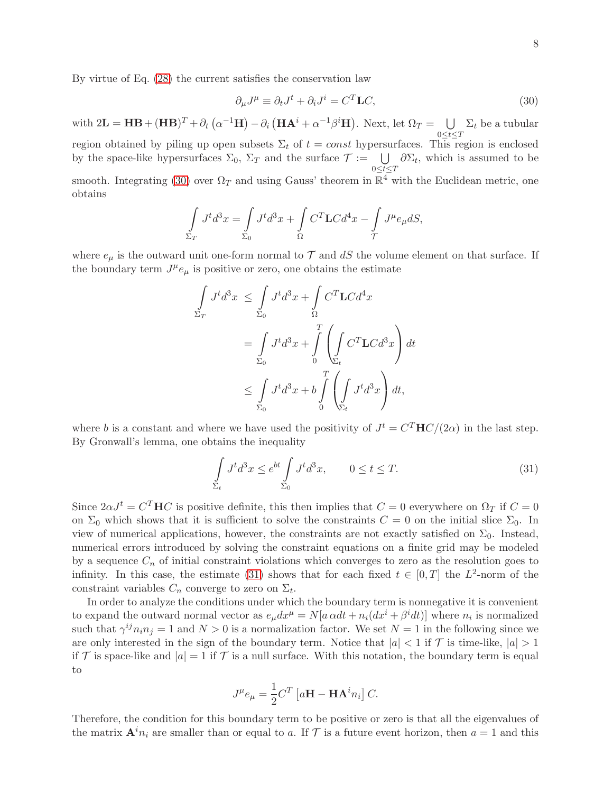<span id="page-8-0"></span>
$$
\partial_{\mu}J^{\mu} \equiv \partial_{t}J^{t} + \partial_{i}J^{i} = C^{T}\mathbf{L}C,
$$
\n(30)

with  $2\mathbf{L} = \mathbf{H}\mathbf{B} + (\mathbf{H}\mathbf{B})^T + \partial_t (\alpha^{-1}\mathbf{H}) - \partial_i (\mathbf{H}\mathbf{A}^i + \alpha^{-1}\beta^i\mathbf{H}).$  Next, let  $\Omega_T = \bigcup_{\alpha \in \Omega_T}$  $0 \leq t \leq T$  $\Sigma_t$  be a tubular region obtained by piling up open subsets  $\Sigma_t$  of  $t = const$  hypersurfaces. This region is enclosed by the space-like hypersurfaces  $\Sigma_0$ ,  $\Sigma_T$  and the surface  $\mathcal{T} := \bigcup_{0 \leq t \leq T}$  $\partial \Sigma_t$ , which is assumed to be

smooth. Integrating [\(30\)](#page-8-0) over  $\Omega_T$  and using Gauss' theorem in  $\mathbb{R}^4$  with the Euclidean metric, one obtains

$$
\int_{\Sigma_T} J^t d^3x = \int_{\Sigma_0} J^t d^3x + \int_{\Omega} C^T \mathbf{L} C d^4x - \int_{\mathcal{T}} J^{\mu} e_{\mu} dS,
$$

where  $e_{\mu}$  is the outward unit one-form normal to  $\mathcal{T}$  and  $dS$  the volume element on that surface. If the boundary term  $J^{\mu}e_{\mu}$  is positive or zero, one obtains the estimate

$$
\int_{\Sigma_T} J^t d^3x \leq \int_{\Sigma_0} J^t d^3x + \int_{\Omega} C^T \mathbf{L} C d^4x
$$
\n
$$
= \int_{\Sigma_0} J^t d^3x + \int_{0}^{T} \left( \int_{\Sigma_t} C^T \mathbf{L} C d^3x \right) dt
$$
\n
$$
\leq \int_{\Sigma_0} J^t d^3x + b \int_{0}^{T} \left( \int_{\Sigma_t} J^t d^3x \right) dt,
$$

where b is a constant and where we have used the positivity of  $J^t = C^T \mathbf{H} C/(2\alpha)$  in the last step. By Gronwall's lemma, one obtains the inequality

<span id="page-8-1"></span>
$$
\int_{\Sigma_t} J^t d^3 x \le e^{bt} \int_{\Sigma_0} J^t d^3 x, \qquad 0 \le t \le T. \tag{31}
$$

Since  $2\alpha J^t = C^T \mathbf{H} C$  is positive definite, this then implies that  $C = 0$  everywhere on  $\Omega_T$  if  $C = 0$ on  $\Sigma_0$  which shows that it is sufficient to solve the constraints  $C = 0$  on the initial slice  $\Sigma_0$ . In view of numerical applications, however, the constraints are not exactly satisfied on  $\Sigma_0$ . Instead, numerical errors introduced by solving the constraint equations on a finite grid may be modeled by a sequence  $C_n$  of initial constraint violations which converges to zero as the resolution goes to infinity. In this case, the estimate [\(31\)](#page-8-1) shows that for each fixed  $t \in [0, T]$  the  $L^2$ -norm of the constraint variables  $C_n$  converge to zero on  $\Sigma_t$ .

In order to analyze the conditions under which the boundary term is nonnegative it is convenient to expand the outward normal vector as  $e_{\mu}dx^{\mu} = N[a \alpha dt + n_i(dx^{i} + \beta^{i}dt)]$  where  $n_i$  is normalized such that  $\gamma^{ij} n_i n_j = 1$  and  $N > 0$  is a normalization factor. We set  $N = 1$  in the following since we are only interested in the sign of the boundary term. Notice that  $|a| < 1$  if T is time-like,  $|a| > 1$ if T is space-like and  $|a|=1$  if T is a null surface. With this notation, the boundary term is equal to

$$
J^{\mu}e_{\mu} = \frac{1}{2}C^{T} \left[a\mathbf{H} - \mathbf{H}\mathbf{A}^{i}n_{i}\right]C.
$$

Therefore, the condition for this boundary term to be positive or zero is that all the eigenvalues of the matrix  $\mathbf{A}^{i}n_{i}$  are smaller than or equal to a. If T is a future event horizon, then  $a = 1$  and this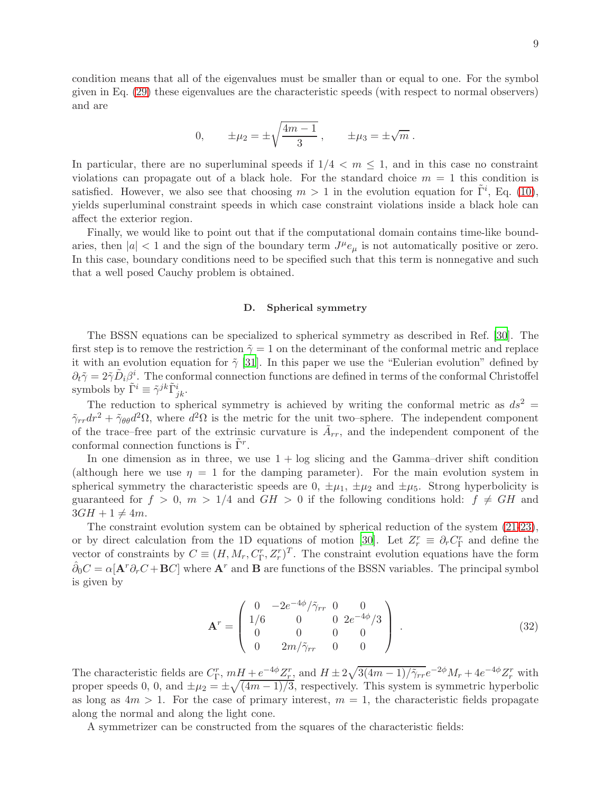condition means that all of the eigenvalues must be smaller than or equal to one. For the symbol given in Eq. [\(29\)](#page-7-2) these eigenvalues are the characteristic speeds (with respect to normal observers) and are

0, 
$$
\pm \mu_2 = \pm \sqrt{\frac{4m-1}{3}}
$$
,  $\pm \mu_3 = \pm \sqrt{m}$ .

In particular, there are no superluminal speeds if  $1/4 < m \leq 1$ , and in this case no constraint violations can propagate out of a black hole. For the standard choice  $m = 1$  this condition is satisfied. However, we also see that choosing  $m > 1$  in the evolution equation for  $\tilde{\Gamma}^i$ , Eq. [\(10\)](#page-4-0), yields superluminal constraint speeds in which case constraint violations inside a black hole can affect the exterior region.

Finally, we would like to point out that if the computational domain contains time-like boundaries, then  $|a| < 1$  and the sign of the boundary term  $J^{\mu}e_{\mu}$  is not automatically positive or zero. In this case, boundary conditions need to be specified such that this term is nonnegative and such that a well posed Cauchy problem is obtained.

### D. Spherical symmetry

The BSSN equations can be specialized to spherical symmetry as described in Ref. [\[30\]](#page-27-7). The first step is to remove the restriction  $\tilde{\gamma} = 1$  on the determinant of the conformal metric and replace it with an evolution equation for  $\tilde{\gamma}$  [\[31\]](#page-27-8). In this paper we use the "Eulerian evolution" defined by  $\partial_t \tilde{\gamma} = 2 \tilde{\gamma} \tilde{D}_i \beta^i$ . The conformal connection functions are defined in terms of the conformal Christoffel symbols by  $\tilde{\Gamma}^i \equiv \tilde{\gamma}^{jk} \tilde{\Gamma}^i_{jk}$ .

The reduction to spherical symmetry is achieved by writing the conformal metric as  $ds^2 =$  $\tilde{\gamma}_{rr} dr^2 + \tilde{\gamma}_{\theta\theta} d^2\Omega$ , where  $d^2\Omega$  is the metric for the unit two–sphere. The independent component of the trace–free part of the extrinsic curvature is  $\tilde{A}_{rr}$ , and the independent component of the conformal connection functions is  $\tilde{\Gamma}^r$ .

In one dimension as in three, we use  $1 + \log$  slicing and the Gamma–driver shift condition (although here we use  $\eta = 1$  for the damping parameter). For the main evolution system in spherical symmetry the characteristic speeds are  $0, \pm \mu_1, \pm \mu_2$  and  $\pm \mu_5$ . Strong hyperbolicity is guaranteed for  $f > 0$ ,  $m > 1/4$  and  $GH > 0$  if the following conditions hold:  $f \neq GH$  and  $3GH + 1 \neq 4m$ .

The constraint evolution system can be obtained by spherical reduction of the system [\(21-23\)](#page-6-0), or by direct calculation from the 1D equations of motion [\[30\]](#page-27-7). Let  $Z_r^r \equiv \partial_r C_{\Gamma}^r$  and define the vector of constraints by  $C \equiv (H, M_r, C_{\Gamma}^r, Z_r^r)^T$ . The constraint evolution equations have the form  $\hat{\partial}_0 C = \alpha [\mathbf{A}^T \partial_r C + \mathbf{B} C]$  where  $\mathbf{A}^r$  and  $\mathbf{B}$  are functions of the BSSN variables. The principal symbol is given by

$$
\mathbf{A}^{r} = \begin{pmatrix} 0 & -2e^{-4\phi}/\tilde{\gamma}_{rr} & 0 & 0 \\ 1/6 & 0 & 0 & 2e^{-4\phi}/3 \\ 0 & 0 & 0 & 0 \\ 0 & 2m/\tilde{\gamma}_{rr} & 0 & 0 \end{pmatrix} . \tag{32}
$$

The characteristic fields are  $C_{\Gamma}^r$ ,  $m\frac{H}{H} + e^{-4\phi} \frac{Z_r^r}{2}$ , and  $H \pm 2\sqrt{3(4m-1)/\tilde{\gamma}_{rr}}e^{-2\phi}M_r + 4e^{-4\phi} \frac{Z_r^r}{2}$  with proper speeds 0, 0, and  $\pm \mu_2 = \pm \sqrt{(4m-1)/3}$ , respectively. This system is symmetric hyperbolic as long as  $4m > 1$ . For the case of primary interest,  $m = 1$ , the characteristic fields propagate along the normal and along the light cone.

A symmetrizer can be constructed from the squares of the characteristic fields: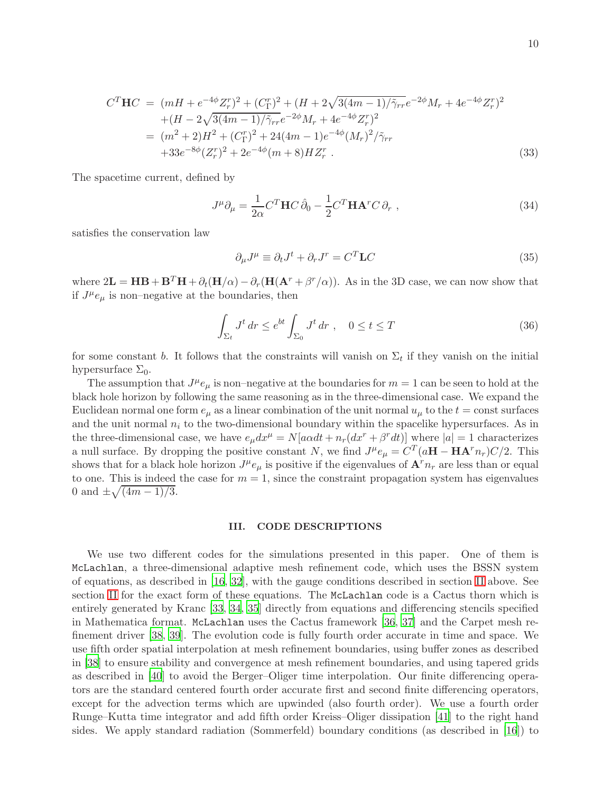$$
C^{T}\mathbf{H}C = (mH + e^{-4\phi}Z_{r}^{r})^{2} + (C_{\Gamma}^{r})^{2} + (H + 2\sqrt{3(4m - 1)/\tilde{\gamma}_{rr}}e^{-2\phi}M_{r} + 4e^{-4\phi}Z_{r}^{r})^{2}
$$
  
+ 
$$
(H - 2\sqrt{3(4m - 1)/\tilde{\gamma}_{rr}}e^{-2\phi}M_{r} + 4e^{-4\phi}Z_{r}^{r})^{2}
$$
  
= 
$$
(m^{2} + 2)H^{2} + (C_{\Gamma}^{r})^{2} + 24(4m - 1)e^{-4\phi}(M_{r})^{2}/\tilde{\gamma}_{rr}
$$
  
+33
$$
e^{-8\phi}(Z_{r}^{r})^{2} + 2e^{-4\phi}(m + 8)HZ_{r}^{r}
$$
 (33)

The spacetime current, defined by

$$
J^{\mu}\partial_{\mu} = \frac{1}{2\alpha}C^{T}\mathbf{H}C\,\hat{\partial}_{0} - \frac{1}{2}C^{T}\mathbf{H}\mathbf{A}^{r}C\,\partial_{r} , \qquad (34)
$$

satisfies the conservation law

$$
\partial_{\mu}J^{\mu} \equiv \partial_{t}J^{t} + \partial_{r}J^{r} = C^{T}\mathbf{L}C
$$
\n(35)

where  $2\mathbf{L} = \mathbf{H}\mathbf{B} + \mathbf{B}^T\mathbf{H} + \partial_t(\mathbf{H}/\alpha) - \partial_r(\mathbf{H}(\mathbf{A}^r + \beta^r/\alpha))$ . As in the 3D case, we can now show that if  $J^{\mu}e_{\mu}$  is non-negative at the boundaries, then

$$
\int_{\Sigma_t} J^t \, dr \le e^{bt} \int_{\Sigma_0} J^t \, dr \ , \quad 0 \le t \le T \tag{36}
$$

for some constant b. It follows that the constraints will vanish on  $\Sigma_t$  if they vanish on the initial hypersurface  $\Sigma_0$ .

The assumption that  $J^{\mu}e_{\mu}$  is non-negative at the boundaries for  $m=1$  can be seen to hold at the black hole horizon by following the same reasoning as in the three-dimensional case. We expand the Euclidean normal one form  $e_\mu$  as a linear combination of the unit normal  $u_\mu$  to the  $t = \text{const}$  surfaces and the unit normal  $n_i$  to the two-dimensional boundary within the spacelike hypersurfaces. As in the three-dimensional case, we have  $e_{\mu}dx^{\mu} = N[a\alpha dt + n_r(dx^r + \beta^r dt)]$  where  $|a| = 1$  characterizes a null surface. By dropping the positive constant N, we find  $J^{\mu}e_{\mu} = C^{T}(a\mathbf{H} - \mathbf{H}\mathbf{A}^{r}n_{r})C/2$ . This shows that for a black hole horizon  $J^{\mu}e_{\mu}$  is positive if the eigenvalues of  $\mathbf{A}^{r}n_{r}$  are less than or equal to one. This is indeed the case for  $m = 1$ , since the constraint propagation system has eigenvalues 0 and  $\pm \sqrt{(4m-1)/3}$ .

### <span id="page-10-0"></span>III. CODE DESCRIPTIONS

We use two different codes for the simulations presented in this paper. One of them is McLachlan, a three-dimensional adaptive mesh refinement code, which uses the BSSN system of equations, as described in [\[16](#page-26-15), [32](#page-27-9)], with the gauge conditions described in section [II](#page-3-0) above. See section [II](#page-3-0) for the exact form of these equations. The McLachlan code is a Cactus thorn which is entirely generated by Kranc [\[33](#page-27-10), [34,](#page-27-11) [35](#page-27-12)] directly from equations and differencing stencils specified in Mathematica format. McLachlan uses the Cactus framework [\[36,](#page-27-13) [37\]](#page-27-14) and the Carpet mesh refinement driver [\[38](#page-27-15), [39](#page-27-16)]. The evolution code is fully fourth order accurate in time and space. We use fifth order spatial interpolation at mesh refinement boundaries, using buffer zones as described in [\[38](#page-27-15)] to ensure stability and convergence at mesh refinement boundaries, and using tapered grids as described in [\[40\]](#page-27-17) to avoid the Berger–Oliger time interpolation. Our finite differencing operators are the standard centered fourth order accurate first and second finite differencing operators, except for the advection terms which are upwinded (also fourth order). We use a fourth order Runge–Kutta time integrator and add fifth order Kreiss–Oliger dissipation [\[41](#page-27-18)] to the right hand sides. We apply standard radiation (Sommerfeld) boundary conditions (as described in [\[16\]](#page-26-15)) to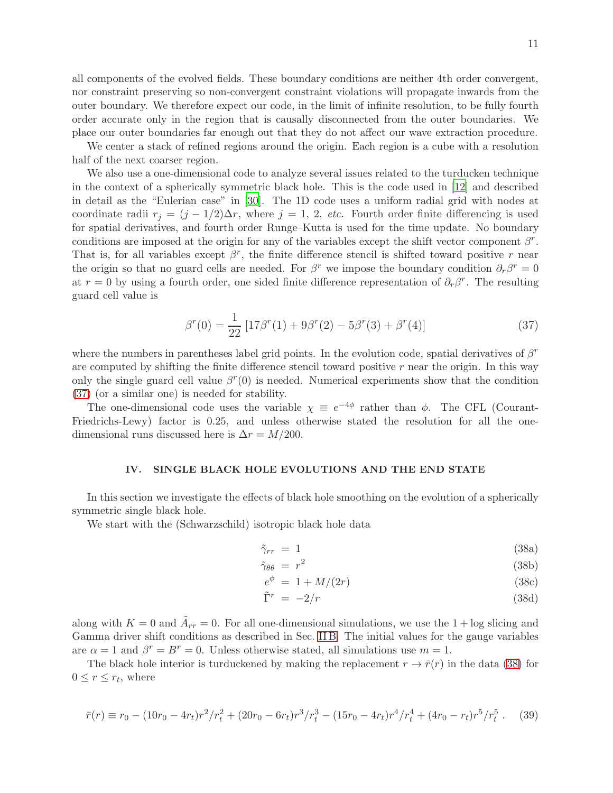all components of the evolved fields. These boundary conditions are neither 4th order convergent, nor constraint preserving so non-convergent constraint violations will propagate inwards from the outer boundary. We therefore expect our code, in the limit of infinite resolution, to be fully fourth order accurate only in the region that is causally disconnected from the outer boundaries. We place our outer boundaries far enough out that they do not affect our wave extraction procedure.

We center a stack of refined regions around the origin. Each region is a cube with a resolution half of the next coarser region.

We also use a one-dimensional code to analyze several issues related to the turducken technique in the context of a spherically symmetric black hole. This is the code used in [\[12](#page-26-11)] and described in detail as the "Eulerian case" in [\[30](#page-27-7)]. The 1D code uses a uniform radial grid with nodes at coordinate radii  $r_j = (j - 1/2)\Delta r$ , where  $j = 1, 2, etc.$  Fourth order finite differencing is used for spatial derivatives, and fourth order Runge–Kutta is used for the time update. No boundary conditions are imposed at the origin for any of the variables except the shift vector component  $\beta^r$ . That is, for all variables except  $\beta^r$ , the finite difference stencil is shifted toward positive r near the origin so that no guard cells are needed. For  $\beta^r$  we impose the boundary condition  $\partial_r \beta^r = 0$ at  $r = 0$  by using a fourth order, one sided finite difference representation of  $\partial_r \beta^r$ . The resulting guard cell value is

<span id="page-11-1"></span>
$$
\beta^{r}(0) = \frac{1}{22} \left[ 17\beta^{r}(1) + 9\beta^{r}(2) - 5\beta^{r}(3) + \beta^{r}(4) \right]
$$
\n(37)

where the numbers in parentheses label grid points. In the evolution code, spatial derivatives of  $\beta^r$ are computed by shifting the finite difference stencil toward positive  $r$  near the origin. In this way only the single guard cell value  $\beta^r(0)$  is needed. Numerical experiments show that the condition [\(37\)](#page-11-1) (or a similar one) is needed for stability.

The one-dimensional code uses the variable  $\chi \equiv e^{-4\phi}$  rather than  $\phi$ . The CFL (Courant-Friedrichs-Lewy) factor is 0.25, and unless otherwise stated the resolution for all the onedimensional runs discussed here is  $\Delta r = M/200$ .

### <span id="page-11-0"></span>IV. SINGLE BLACK HOLE EVOLUTIONS AND THE END STATE

In this section we investigate the effects of black hole smoothing on the evolution of a spherically symmetric single black hole.

We start with the (Schwarzschild) isotropic black hole data

<span id="page-11-2"></span>
$$
\tilde{\gamma}_{rr} = 1 \tag{38a}
$$

$$
\tilde{\gamma}_{\theta\theta} = r^2 \tag{38b}
$$

$$
e^{\phi} = 1 + M/(2r) \tag{38c}
$$

$$
\tilde{\Gamma}^r = -2/r \tag{38d}
$$

along with  $K = 0$  and  $\tilde{A}_{rr} = 0$ . For all one-dimensional simulations, we use the 1 + log slicing and Gamma driver shift conditions as described in Sec. [II B.](#page-5-1) The initial values for the gauge variables are  $\alpha = 1$  and  $\beta^r = B^r = 0$ . Unless otherwise stated, all simulations use  $m = 1$ .

The black hole interior is turduckened by making the replacement  $r \to \bar{r}(r)$  in the data [\(38\)](#page-11-2) for  $0 \leq r \leq r_t$ , where

$$
\bar{r}(r) \equiv r_0 - (10r_0 - 4r_t)r^2/r_t^2 + (20r_0 - 6r_t)r^3/r_t^3 - (15r_0 - 4r_t)r^4/r_t^4 + (4r_0 - r_t)r^5/r_t^5. \tag{39}
$$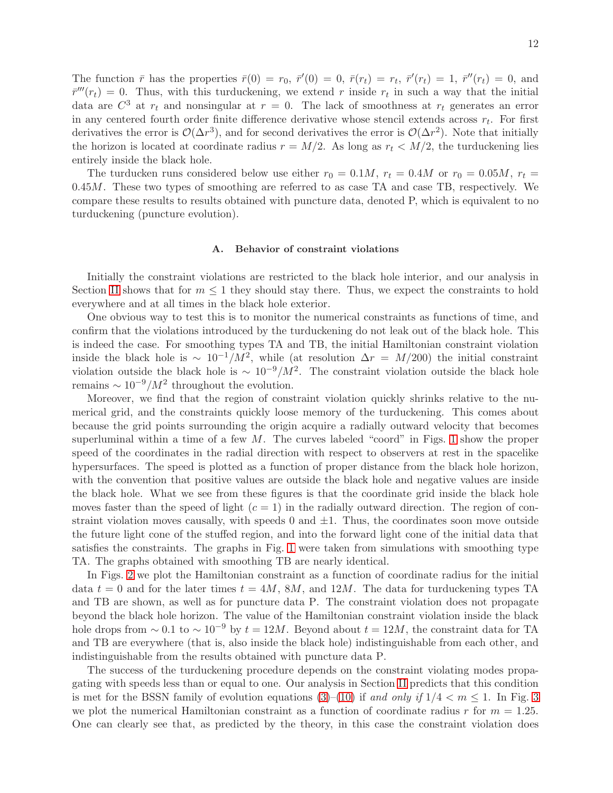The function  $\bar{r}$  has the properties  $\bar{r}(0) = r_0$ ,  $\bar{r}'(0) = 0$ ,  $\bar{r}(r_t) = r_t$ ,  $\bar{r}'(r_t) = 1$ ,  $\bar{r}''(r_t) = 0$ , and  $\bar{r}'''(r_t) = 0$ . Thus, with this turduckening, we extend r inside  $r_t$  in such a way that the initial data are  $C^3$  at  $r_t$  and nonsingular at  $r = 0$ . The lack of smoothness at  $r_t$  generates an error in any centered fourth order finite difference derivative whose stencil extends across  $r_t$ . For first derivatives the error is  $\mathcal{O}(\Delta r^3)$ , and for second derivatives the error is  $\mathcal{O}(\Delta r^2)$ . Note that initially the horizon is located at coordinate radius  $r = M/2$ . As long as  $r_t < M/2$ , the turduckening lies entirely inside the black hole.

The turducken runs considered below use either  $r_0 = 0.1M$ ,  $r_t = 0.4M$  or  $r_0 = 0.05M$ ,  $r_t =$  $0.45M$ . These two types of smoothing are referred to as case TA and case TB, respectively. We compare these results to results obtained with puncture data, denoted P, which is equivalent to no turduckening (puncture evolution).

### A. Behavior of constraint violations

Initially the constraint violations are restricted to the black hole interior, and our analysis in Section [II](#page-3-0) shows that for  $m \leq 1$  they should stay there. Thus, we expect the constraints to hold everywhere and at all times in the black hole exterior.

One obvious way to test this is to monitor the numerical constraints as functions of time, and confirm that the violations introduced by the turduckening do not leak out of the black hole. This is indeed the case. For smoothing types TA and TB, the initial Hamiltonian constraint violation inside the black hole is  $\sim 10^{-1}/M^2$ , while (at resolution  $\Delta r = M/200$ ) the initial constraint violation outside the black hole is  $\sim 10^{-9}/M^2$ . The constraint violation outside the black hole remains  $\sim 10^{-9}/M^2$  throughout the evolution.

Moreover, we find that the region of constraint violation quickly shrinks relative to the numerical grid, and the constraints quickly loose memory of the turduckening. This comes about because the grid points surrounding the origin acquire a radially outward velocity that becomes superluminal within a time of a few  $M$ . The curves labeled "coord" in Figs. [1](#page-13-0) show the proper speed of the coordinates in the radial direction with respect to observers at rest in the spacelike hypersurfaces. The speed is plotted as a function of proper distance from the black hole horizon, with the convention that positive values are outside the black hole and negative values are inside the black hole. What we see from these figures is that the coordinate grid inside the black hole moves faster than the speed of light  $(c = 1)$  in the radially outward direction. The region of constraint violation moves causally, with speeds  $0$  and  $\pm 1$ . Thus, the coordinates soon move outside the future light cone of the stuffed region, and into the forward light cone of the initial data that satisfies the constraints. The graphs in Fig. [1](#page-13-0) were taken from simulations with smoothing type TA. The graphs obtained with smoothing TB are nearly identical.

In Figs. [2](#page-14-0) we plot the Hamiltonian constraint as a function of coordinate radius for the initial data  $t = 0$  and for the later times  $t = 4M$ , 8M, and 12M. The data for turduckening types TA and TB are shown, as well as for puncture data P. The constraint violation does not propagate beyond the black hole horizon. The value of the Hamiltonian constraint violation inside the black hole drops from  $\sim 0.1$  to  $\sim 10^{-9}$  by  $t = 12M$ . Beyond about  $t = 12M$ , the constraint data for TA and TB are everywhere (that is, also inside the black hole) indistinguishable from each other, and indistinguishable from the results obtained with puncture data P.

The success of the turduckening procedure depends on the constraint violating modes propagating with speeds less than or equal to one. Our analysis in Section [II](#page-3-0) predicts that this condition is met for the BSSN family of evolution equations [\(3\)](#page-4-0)–[\(10\)](#page-4-0) if and only if  $1/4 < m \le 1$ . In Fig. [3](#page-15-0) we plot the numerical Hamiltonian constraint as a function of coordinate radius r for  $m = 1.25$ . One can clearly see that, as predicted by the theory, in this case the constraint violation does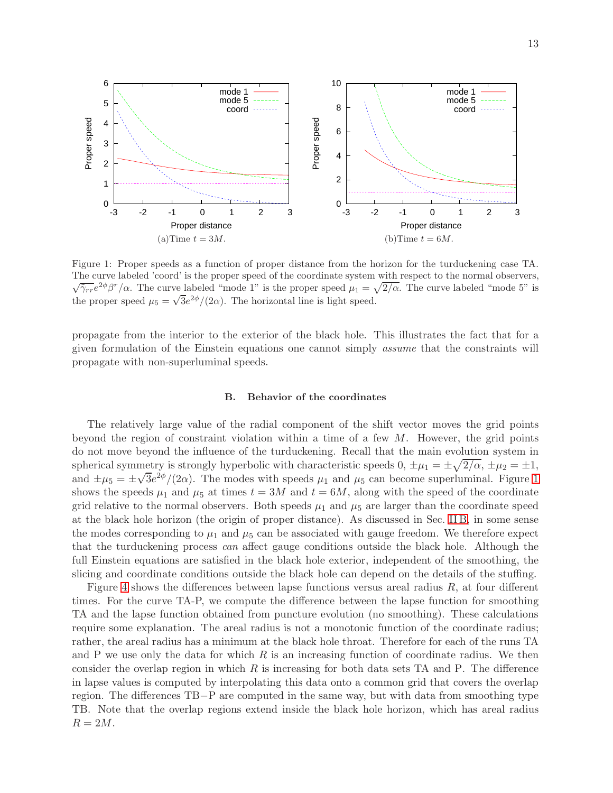<span id="page-13-0"></span>

Figure 1: Proper speeds as a function of proper distance from the horizon for the turduckening case TA. The curve labeled 'coord' is the proper speed of the coordinate system with respect to the normal observers,  $\sqrt{\tilde{\gamma}_{rr}}e^{2\phi}\beta^r/\alpha$ . The curve labeled "mode 1" is the proper speed  $\mu_1 = \sqrt{2/\alpha}$ . The curve labeled "mode 5" is the proper speed  $\mu_5 = \sqrt{3}e^{2\phi}/(2\alpha)$ . The horizontal line is light speed.

propagate from the interior to the exterior of the black hole. This illustrates the fact that for a given formulation of the Einstein equations one cannot simply assume that the constraints will propagate with non-superluminal speeds.

### <span id="page-13-1"></span>B. Behavior of the coordinates

The relatively large value of the radial component of the shift vector moves the grid points beyond the region of constraint violation within a time of a few  $M$ . However, the grid points do not move beyond the influence of the turduckening. Recall that the main evolution system in spherical symmetry is strongly hyperbolic with characteristic speeds  $0, \pm \mu_1 = \pm \sqrt{2/\alpha}, \pm \mu_2 = \pm 1$ , and  $\pm \mu_5 = \pm \sqrt{3}e^{2\phi}/(2\alpha)$ . The modes with speeds  $\mu_1$  and  $\mu_5$  can become superluminal. Figure [1](#page-13-0) shows the speeds  $\mu_1$  and  $\mu_5$  at times  $t = 3M$  and  $t = 6M$ , along with the speed of the coordinate grid relative to the normal observers. Both speeds  $\mu_1$  and  $\mu_5$  are larger than the coordinate speed at the black hole horizon (the origin of proper distance). As discussed in Sec. [II B,](#page-5-1) in some sense the modes corresponding to  $\mu_1$  and  $\mu_5$  can be associated with gauge freedom. We therefore expect that the turduckening process can affect gauge conditions outside the black hole. Although the full Einstein equations are satisfied in the black hole exterior, independent of the smoothing, the slicing and coordinate conditions outside the black hole can depend on the details of the stuffing.

Figure [4](#page-16-0) shows the differences between lapse functions versus areal radius  $R$ , at four different times. For the curve TA-P, we compute the difference between the lapse function for smoothing TA and the lapse function obtained from puncture evolution (no smoothing). These calculations require some explanation. The areal radius is not a monotonic function of the coordinate radius; rather, the areal radius has a minimum at the black hole throat. Therefore for each of the runs TA and P we use only the data for which  $R$  is an increasing function of coordinate radius. We then consider the overlap region in which  $R$  is increasing for both data sets TA and P. The difference in lapse values is computed by interpolating this data onto a common grid that covers the overlap region. The differences TB−P are computed in the same way, but with data from smoothing type TB. Note that the overlap regions extend inside the black hole horizon, which has areal radius  $R = 2M$ .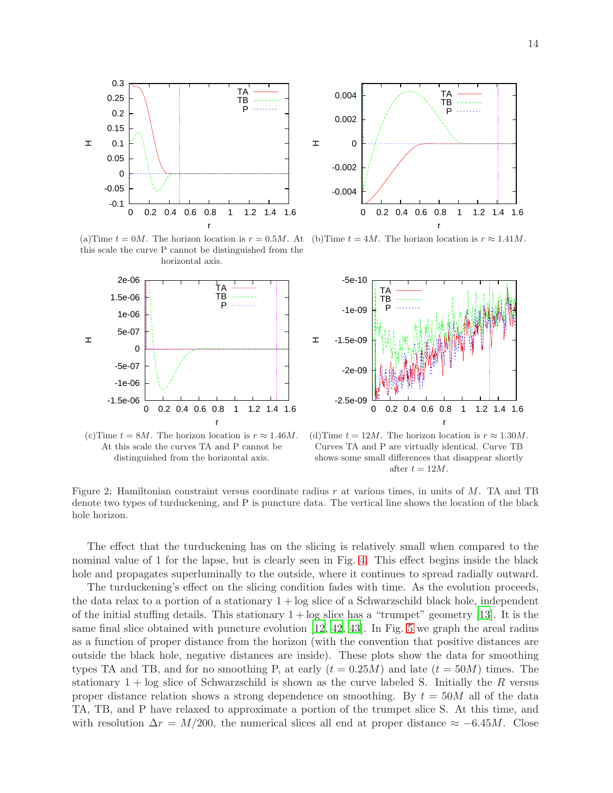<span id="page-14-0"></span>



(a)Time  $t = 0M$ . The horizon location is  $r = 0.5M$ . At (b)Time  $t = 4M$ . The horizon location is  $r \approx 1.41M$ . this scale the curve P cannot be distinguished from the horizontal axis.







(d) Time  $t = 12M$ . The horizon location is  $r \approx 1.30M$ . Curves TA and P are virtually identical. Curve TB shows some small differences that disappear shortly after  $t = 12M$ .

Figure 2: Hamiltonian constraint versus coordinate radius  $r$  at various times, in units of  $M$ . TA and TB denote two types of turduckening, and P is puncture data. The vertical line shows the location of the black hole horizon.

The effect that the turduckening has on the slicing is relatively small when compared to the nominal value of 1 for the lapse, but is clearly seen in Fig. [4.](#page-16-0) This effect begins inside the black hole and propagates superluminally to the outside, where it continues to spread radially outward.

The turduckening's effect on the slicing condition fades with time. As the evolution proceeds, the data relax to a portion of a stationary  $1 + \log$  slice of a Schwarzschild black hole, independent of the initial stuffing details. This stationary  $1 + \log$  slice has a "trumpet" geometry [\[13\]](#page-26-12). It is the same final slice obtained with puncture evolution [\[12,](#page-26-11) [42](#page-27-19), [43](#page-27-20)]. In Fig. [5](#page-16-1) we graph the areal radius as a function of proper distance from the horizon (with the convention that positive distances are outside the black hole, negative distances are inside). These plots show the data for smoothing types TA and TB, and for no smoothing P, at early  $(t = 0.25M)$  and late  $(t = 50M)$  times. The stationary  $1 + \log$  slice of Schwarzschild is shown as the curve labeled S. Initially the R versus proper distance relation shows a strong dependence on smoothing. By  $t = 50M$  all of the data TA, TB, and P have relaxed to approximate a portion of the trumpet slice S. At this time, and with resolution  $\Delta r = M/200$ , the numerical slices all end at proper distance  $\approx -6.45M$ . Close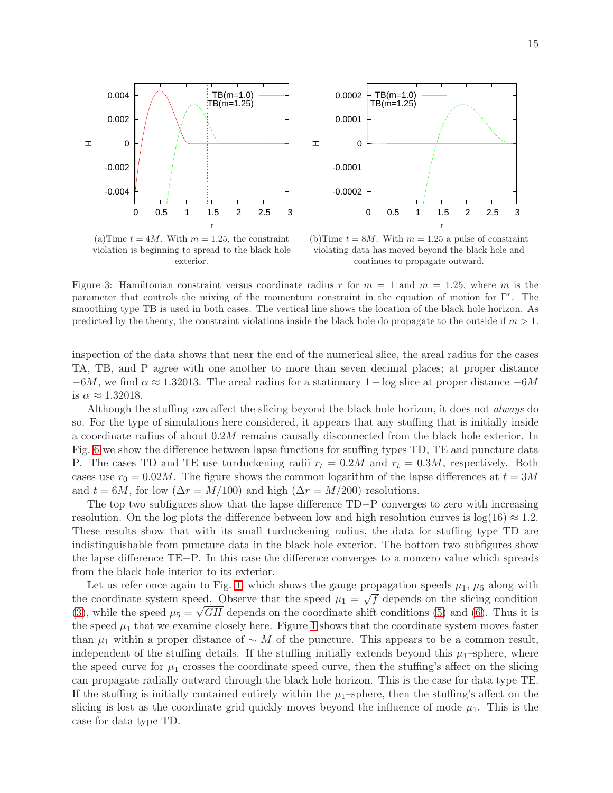<span id="page-15-0"></span>



(a) Time  $t = 4M$ . With  $m = 1.25$ , the constraint violation is beginning to spread to the black hole exterior.

(b) Time  $t = 8M$ . With  $m = 1.25$  a pulse of constraint violating data has moved beyond the black hole and continues to propagate outward.

Figure 3: Hamiltonian constraint versus coordinate radius r for  $m = 1$  and  $m = 1.25$ , where m is the parameter that controls the mixing of the momentum constraint in the equation of motion for Γ<sup>r</sup> . The smoothing type TB is used in both cases. The vertical line shows the location of the black hole horizon. As predicted by the theory, the constraint violations inside the black hole do propagate to the outside if  $m > 1$ .

inspection of the data shows that near the end of the numerical slice, the areal radius for the cases TA, TB, and P agree with one another to more than seven decimal places; at proper distance  $-6M$ , we find  $\alpha \approx 1.32013$ . The areal radius for a stationary  $1 + \log$  slice at proper distance  $-6M$ is  $\alpha \approx 1.32018$ .

Although the stuffing can affect the slicing beyond the black hole horizon, it does not always do so. For the type of simulations here considered, it appears that any stuffing that is initially inside a coordinate radius of about 0.2M remains causally disconnected from the black hole exterior. In Fig. [6](#page-17-0) we show the difference between lapse functions for stuffing types TD, TE and puncture data P. The cases TD and TE use turduckening radii  $r_t = 0.2M$  and  $r_t = 0.3M$ , respectively. Both cases use  $r_0 = 0.02M$ . The figure shows the common logarithm of the lapse differences at  $t = 3M$ and  $t = 6M$ , for low  $(\Delta r = M/100)$  and high  $(\Delta r = M/200)$  resolutions.

The top two subfigures show that the lapse difference TD−P converges to zero with increasing resolution. On the log plots the difference between low and high resolution curves is  $log(16) \approx 1.2$ . These results show that with its small turduckening radius, the data for stuffing type TD are indistinguishable from puncture data in the black hole exterior. The bottom two subfigures show the lapse difference TE−P. In this case the difference converges to a nonzero value which spreads from the black hole interior to its exterior.

Let us refer once again to Fig. [1,](#page-13-0) which shows the gauge propagation speeds  $\mu_1$ ,  $\mu_5$  along with the coordinate system speed. Observe that the speed  $\mu_1 = \sqrt{f}$  depends on the slicing condition [\(3\)](#page-4-0), while the speed  $\mu_5 = \sqrt{GH}$  depends on the coordinate shift conditions [\(5\)](#page-4-0) and [\(6\)](#page-4-0). Thus it is the speed  $\mu_1$  that we examine closely here. Figure [1](#page-13-0) shows that the coordinate system moves faster than  $\mu_1$  within a proper distance of ∼ M of the puncture. This appears to be a common result, independent of the stuffing details. If the stuffing initially extends beyond this  $\mu_1$ –sphere, where the speed curve for  $\mu_1$  crosses the coordinate speed curve, then the stuffing's affect on the slicing can propagate radially outward through the black hole horizon. This is the case for data type TE. If the stuffing is initially contained entirely within the  $\mu_1$ –sphere, then the stuffing's affect on the slicing is lost as the coordinate grid quickly moves beyond the influence of mode  $\mu_1$ . This is the case for data type TD.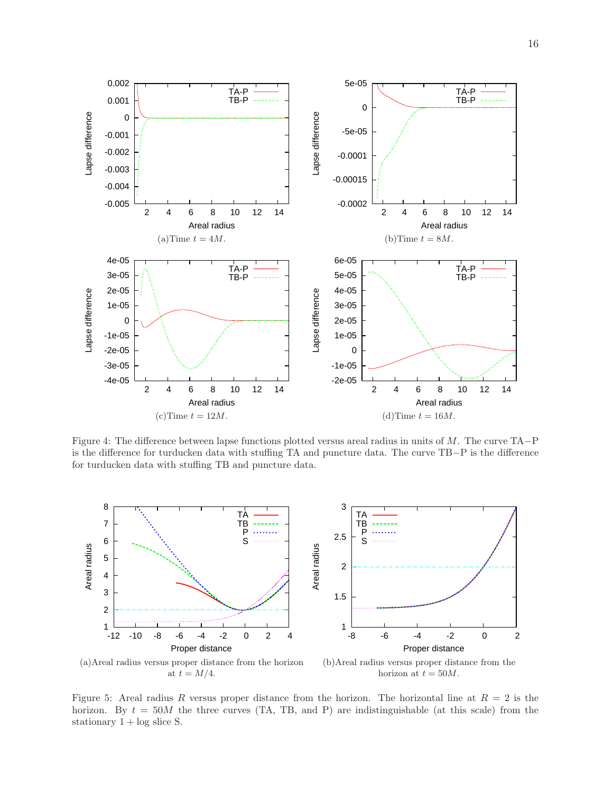<span id="page-16-0"></span>

Figure 4: The difference between lapse functions plotted versus areal radius in units of M. The curve TA−P is the difference for turducken data with stuffing TA and puncture data. The curve TB−P is the difference for turducken data with stuffing TB and puncture data.

<span id="page-16-1"></span>

Figure 5: Areal radius R versus proper distance from the horizon. The horizontal line at  $R = 2$  is the horizon. By  $t = 50M$  the three curves (TA, TB, and P) are indistinguishable (at this scale) from the stationary  $1 + \log$  slice S.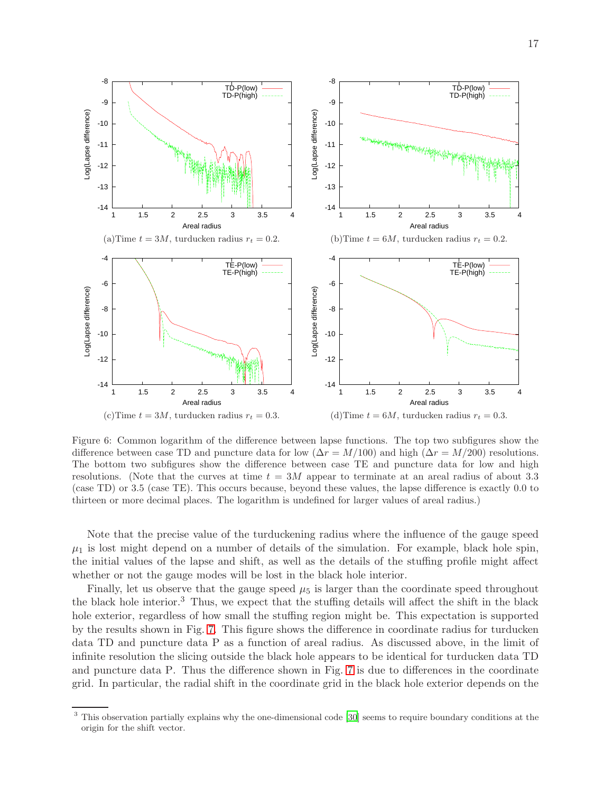<span id="page-17-0"></span>

Figure 6: Common logarithm of the difference between lapse functions. The top two subfigures show the difference between case TD and puncture data for low ( $\Delta r = M/100$ ) and high ( $\Delta r = M/200$ ) resolutions. The bottom two subfigures show the difference between case TE and puncture data for low and high resolutions. (Note that the curves at time  $t = 3M$  appear to terminate at an areal radius of about 3.3 (case TD) or 3.5 (case TE). This occurs because, beyond these values, the lapse difference is exactly 0.0 to thirteen or more decimal places. The logarithm is undefined for larger values of areal radius.)

Note that the precise value of the turduckening radius where the influence of the gauge speed  $\mu_1$  is lost might depend on a number of details of the simulation. For example, black hole spin, the initial values of the lapse and shift, as well as the details of the stuffing profile might affect whether or not the gauge modes will be lost in the black hole interior.

Finally, let us observe that the gauge speed  $\mu_5$  is larger than the coordinate speed throughout the black hole interior.<sup>3</sup> Thus, we expect that the stuffing details will affect the shift in the black hole exterior, regardless of how small the stuffing region might be. This expectation is supported by the results shown in Fig. [7.](#page-18-1) This figure shows the difference in coordinate radius for turducken data TD and puncture data P as a function of areal radius. As discussed above, in the limit of infinite resolution the slicing outside the black hole appears to be identical for turducken data TD and puncture data P. Thus the difference shown in Fig. [7](#page-18-1) is due to differences in the coordinate grid. In particular, the radial shift in the coordinate grid in the black hole exterior depends on the

<sup>3</sup> This observation partially explains why the one-dimensional code [\[30\]](#page-27-7) seems to require boundary conditions at the origin for the shift vector.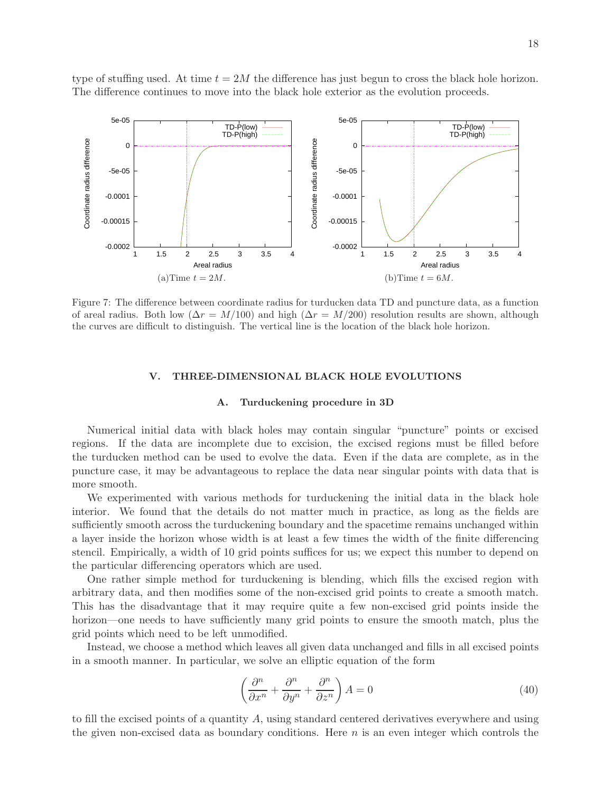type of stuffing used. At time  $t = 2M$  the difference has just begun to cross the black hole horizon. The difference continues to move into the black hole exterior as the evolution proceeds.

<span id="page-18-1"></span>

Figure 7: The difference between coordinate radius for turducken data TD and puncture data, as a function of areal radius. Both low ( $\Delta r = M/100$ ) and high ( $\Delta r = M/200$ ) resolution results are shown, although the curves are difficult to distinguish. The vertical line is the location of the black hole horizon.

### <span id="page-18-0"></span>V. THREE-DIMENSIONAL BLACK HOLE EVOLUTIONS

### A. Turduckening procedure in 3D

Numerical initial data with black holes may contain singular "puncture" points or excised regions. If the data are incomplete due to excision, the excised regions must be filled before the turducken method can be used to evolve the data. Even if the data are complete, as in the puncture case, it may be advantageous to replace the data near singular points with data that is more smooth.

We experimented with various methods for turduckening the initial data in the black hole interior. We found that the details do not matter much in practice, as long as the fields are sufficiently smooth across the turduckening boundary and the spacetime remains unchanged within a layer inside the horizon whose width is at least a few times the width of the finite differencing stencil. Empirically, a width of 10 grid points suffices for us; we expect this number to depend on the particular differencing operators which are used.

One rather simple method for turduckening is blending, which fills the excised region with arbitrary data, and then modifies some of the non-excised grid points to create a smooth match. This has the disadvantage that it may require quite a few non-excised grid points inside the horizon—one needs to have sufficiently many grid points to ensure the smooth match, plus the grid points which need to be left unmodified.

Instead, we choose a method which leaves all given data unchanged and fills in all excised points in a smooth manner. In particular, we solve an elliptic equation of the form

<span id="page-18-2"></span>
$$
\left(\frac{\partial^n}{\partial x^n} + \frac{\partial^n}{\partial y^n} + \frac{\partial^n}{\partial z^n}\right) A = 0
$$
\n(40)

to fill the excised points of a quantity A, using standard centered derivatives everywhere and using the given non-excised data as boundary conditions. Here  $n$  is an even integer which controls the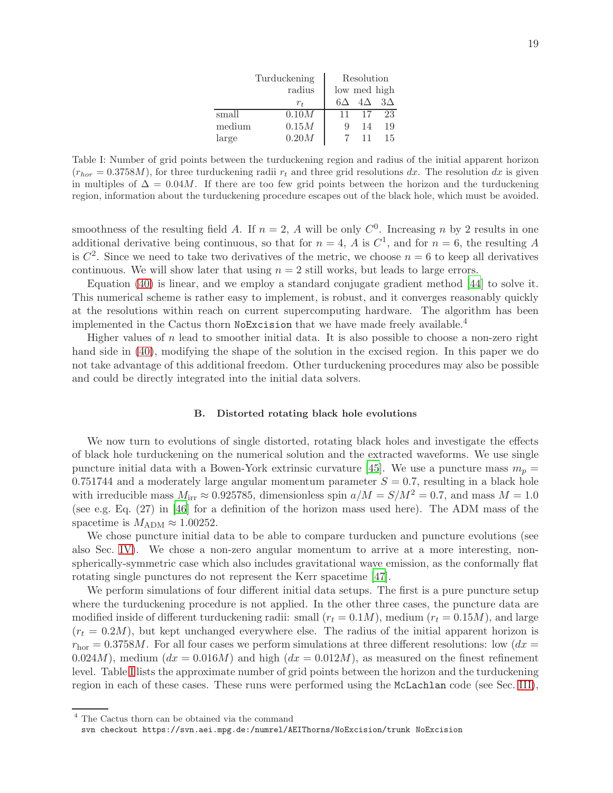|        | Turduckening | Resolution   |    |                     |
|--------|--------------|--------------|----|---------------------|
|        | radius       | low med high |    |                     |
|        | $r_{t}$      | 6А           |    | $4\Delta$ $3\Delta$ |
| small  | 0.10M        | 11           | 17 | 23                  |
| medium | 0.15M        | 9            | 14 | 19                  |
| large  | 0.20M        |              |    | 15                  |

<span id="page-19-0"></span>Table I: Number of grid points between the turduckening region and radius of the initial apparent horizon  $(r_{hor} = 0.3758M)$ , for three turduckening radii  $r_t$  and three grid resolutions dx. The resolution dx is given in multiples of  $\Delta = 0.04M$ . If there are too few grid points between the horizon and the turduckening region, information about the turduckening procedure escapes out of the black hole, which must be avoided.

smoothness of the resulting field A. If  $n = 2$ , A will be only  $C<sup>0</sup>$ . Increasing n by 2 results in one additional derivative being continuous, so that for  $n = 4$ , A is  $C<sup>1</sup>$ , and for  $n = 6$ , the resulting A is  $C^2$ . Since we need to take two derivatives of the metric, we choose  $n = 6$  to keep all derivatives continuous. We will show later that using  $n = 2$  still works, but leads to large errors.

Equation [\(40\)](#page-18-2) is linear, and we employ a standard conjugate gradient method [\[44](#page-27-21)] to solve it. This numerical scheme is rather easy to implement, is robust, and it converges reasonably quickly at the resolutions within reach on current supercomputing hardware. The algorithm has been implemented in the Cactus thorn NoExcision that we have made freely available.<sup>4</sup>

Higher values of  $n$  lead to smoother initial data. It is also possible to choose a non-zero right hand side in [\(40\)](#page-18-2), modifying the shape of the solution in the excised region. In this paper we do not take advantage of this additional freedom. Other turduckening procedures may also be possible and could be directly integrated into the initial data solvers.

### B. Distorted rotating black hole evolutions

We now turn to evolutions of single distorted, rotating black holes and investigate the effects of black hole turduckening on the numerical solution and the extracted waveforms. We use single puncture initial data with a Bowen-York extrinsic curvature [\[45\]](#page-27-22). We use a puncture mass  $m_p =$ 0.751744 and a moderately large angular momentum parameter  $S = 0.7$ , resulting in a black hole with irreducible mass  $M_{irr} \approx 0.925785$ , dimensionless spin  $a/M = S/M^2 = 0.7$ , and mass  $M = 1.0$ (see e.g. Eq. (27) in [\[46](#page-27-23)] for a definition of the horizon mass used here). The ADM mass of the spacetime is  $M_{\rm ADM} \approx 1.00252$ .

We chose puncture initial data to be able to compare turducken and puncture evolutions (see also Sec. [IV\)](#page-11-0). We chose a non-zero angular momentum to arrive at a more interesting, nonspherically-symmetric case which also includes gravitational wave emission, as the conformally flat rotating single punctures do not represent the Kerr spacetime [\[47\]](#page-27-24).

We perform simulations of four different initial data setups. The first is a pure puncture setup where the turduckening procedure is not applied. In the other three cases, the puncture data are modified inside of different turduckening radii: small  $(r_t = 0.1M)$ , medium  $(r_t = 0.15M)$ , and large  $(r_t = 0.2M)$ , but kept unchanged everywhere else. The radius of the initial apparent horizon is  $r_{\text{hor}} = 0.3758M$ . For all four cases we perform simulations at three different resolutions: low  $(dx =$ 0.024M), medium  $(dx = 0.016M)$  and high  $(dx = 0.012M)$ , as measured on the finest refinement level. Table [I](#page-19-0) lists the approximate number of grid points between the horizon and the turduckening region in each of these cases. These runs were performed using the McLachlan code (see Sec. [III\)](#page-10-0),

<sup>4</sup> The Cactus thorn can be obtained via the command

svn checkout https://svn.aei.mpg.de:/numrel/AEIThorns/NoExcision/trunk NoExcision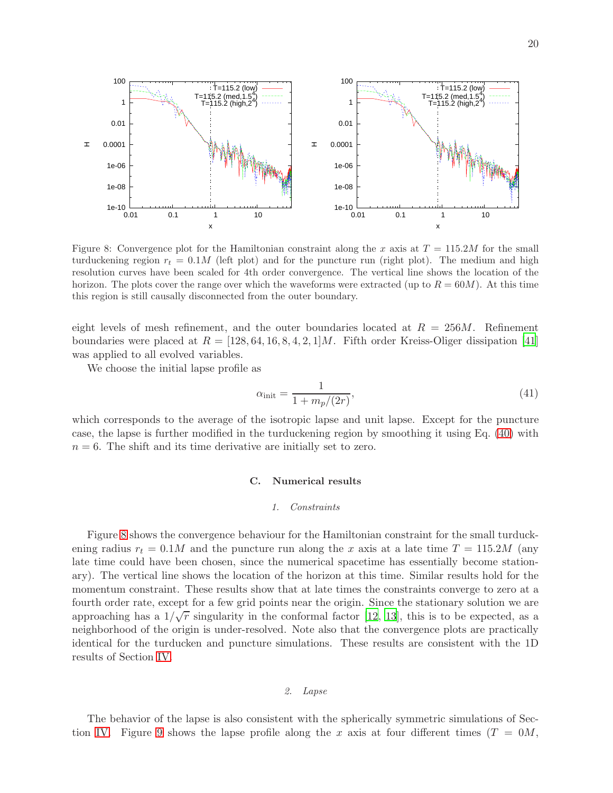<span id="page-20-0"></span>

Figure 8: Convergence plot for the Hamiltonian constraint along the x axis at  $T = 115.2M$  for the small turduckening region  $r_t = 0.1M$  (left plot) and for the puncture run (right plot). The medium and high resolution curves have been scaled for 4th order convergence. The vertical line shows the location of the horizon. The plots cover the range over which the waveforms were extracted (up to  $R = 60M$ ). At this time this region is still causally disconnected from the outer boundary.

eight levels of mesh refinement, and the outer boundaries located at  $R = 256M$ . Refinement boundaries were placed at  $R = [128, 64, 16, 8, 4, 2, 1]M$ . Fifth order Kreiss-Oliger dissipation [\[41](#page-27-18)] was applied to all evolved variables.

We choose the initial lapse profile as

$$
\alpha_{\text{init}} = \frac{1}{1 + m_p/(2r)},\tag{41}
$$

which corresponds to the average of the isotropic lapse and unit lapse. Except for the puncture case, the lapse is further modified in the turduckening region by smoothing it using Eq. [\(40\)](#page-18-2) with  $n = 6$ . The shift and its time derivative are initially set to zero.

### C. Numerical results

### 1. Constraints

Figure [8](#page-20-0) shows the convergence behaviour for the Hamiltonian constraint for the small turduckening radius  $r_t = 0.1M$  and the puncture run along the x axis at a late time  $T = 115.2M$  (any late time could have been chosen, since the numerical spacetime has essentially become stationary). The vertical line shows the location of the horizon at this time. Similar results hold for the momentum constraint. These results show that at late times the constraints converge to zero at a fourth order rate, except for a few grid points near the origin. Since the stationary solution we are approaching has a  $1/\sqrt{r}$  singularity in the conformal factor [\[12,](#page-26-11) [13](#page-26-12)], this is to be expected, as a neighborhood of the origin is under-resolved. Note also that the convergence plots are practically identical for the turducken and puncture simulations. These results are consistent with the 1D results of Section [IV.](#page-11-0)

### 2. Lapse

The behavior of the lapse is also consistent with the spherically symmetric simulations of Sec-tion [IV.](#page-11-0) Figure [9](#page-21-0) shows the lapse profile along the x axis at four different times  $(T = 0M,$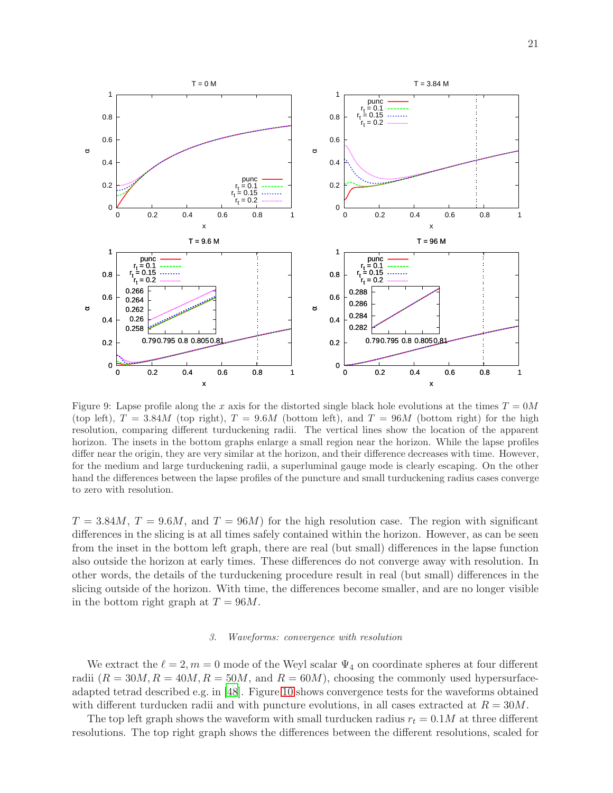<span id="page-21-0"></span>

Figure 9: Lapse profile along the x axis for the distorted single black hole evolutions at the times  $T = 0M$ (top left),  $T = 3.84M$  (top right),  $T = 9.6M$  (bottom left), and  $T = 96M$  (bottom right) for the high resolution, comparing different turduckening radii. The vertical lines show the location of the apparent horizon. The insets in the bottom graphs enlarge a small region near the horizon. While the lapse profiles differ near the origin, they are very similar at the horizon, and their difference decreases with time. However, for the medium and large turduckening radii, a superluminal gauge mode is clearly escaping. On the other hand the differences between the lapse profiles of the puncture and small turduckening radius cases converge to zero with resolution.

 $T = 3.84M$ ,  $T = 9.6M$ , and  $T = 96M$ ) for the high resolution case. The region with significant differences in the slicing is at all times safely contained within the horizon. However, as can be seen from the inset in the bottom left graph, there are real (but small) differences in the lapse function also outside the horizon at early times. These differences do not converge away with resolution. In other words, the details of the turduckening procedure result in real (but small) differences in the slicing outside of the horizon. With time, the differences become smaller, and are no longer visible in the bottom right graph at  $T = 96M$ .

### 3. Waveforms: convergence with resolution

We extract the  $\ell = 2, m = 0$  mode of the Weyl scalar  $\Psi_4$  on coordinate spheres at four different radii  $(R = 30M, R = 40M, R = 50M, \text{ and } R = 60M)$ , choosing the commonly used hypersurfaceadapted tetrad described e.g. in [\[48\]](#page-27-25). Figure [10](#page-22-0) shows convergence tests for the waveforms obtained with different turducken radii and with puncture evolutions, in all cases extracted at  $R = 30M$ .

The top left graph shows the waveform with small turducken radius  $r_t = 0.1M$  at three different resolutions. The top right graph shows the differences between the different resolutions, scaled for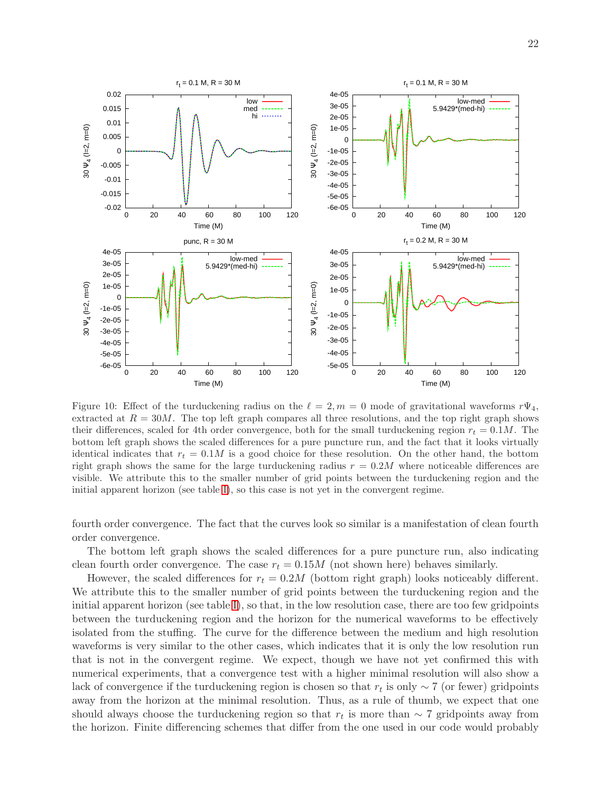<span id="page-22-0"></span>

Figure 10: Effect of the turduckening radius on the  $\ell = 2, m = 0$  mode of gravitational waveforms  $r\Psi_4$ , extracted at  $R = 30M$ . The top left graph compares all three resolutions, and the top right graph shows their differences, scaled for 4th order convergence, both for the small turduckening region  $r_t = 0.1M$ . The bottom left graph shows the scaled differences for a pure puncture run, and the fact that it looks virtually identical indicates that  $r_t = 0.1M$  is a good choice for these resolution. On the other hand, the bottom right graph shows the same for the large turduckening radius  $r = 0.2M$  where noticeable differences are visible. We attribute this to the smaller number of grid points between the turduckening region and the initial apparent horizon (see table [I\)](#page-19-0), so this case is not yet in the convergent regime.

fourth order convergence. The fact that the curves look so similar is a manifestation of clean fourth order convergence.

The bottom left graph shows the scaled differences for a pure puncture run, also indicating clean fourth order convergence. The case  $r_t = 0.15M$  (not shown here) behaves similarly.

However, the scaled differences for  $r_t = 0.2M$  (bottom right graph) looks noticeably different. We attribute this to the smaller number of grid points between the turduckening region and the initial apparent horizon (see table [I\)](#page-19-0), so that, in the low resolution case, there are too few gridpoints between the turduckening region and the horizon for the numerical waveforms to be effectively isolated from the stuffing. The curve for the difference between the medium and high resolution waveforms is very similar to the other cases, which indicates that it is only the low resolution run that is not in the convergent regime. We expect, though we have not yet confirmed this with numerical experiments, that a convergence test with a higher minimal resolution will also show a lack of convergence if the turduckening region is chosen so that  $r_t$  is only  $\sim 7$  (or fewer) gridpoints away from the horizon at the minimal resolution. Thus, as a rule of thumb, we expect that one should always choose the turduckening region so that  $r_t$  is more than ~ 7 gridpoints away from the horizon. Finite differencing schemes that differ from the one used in our code would probably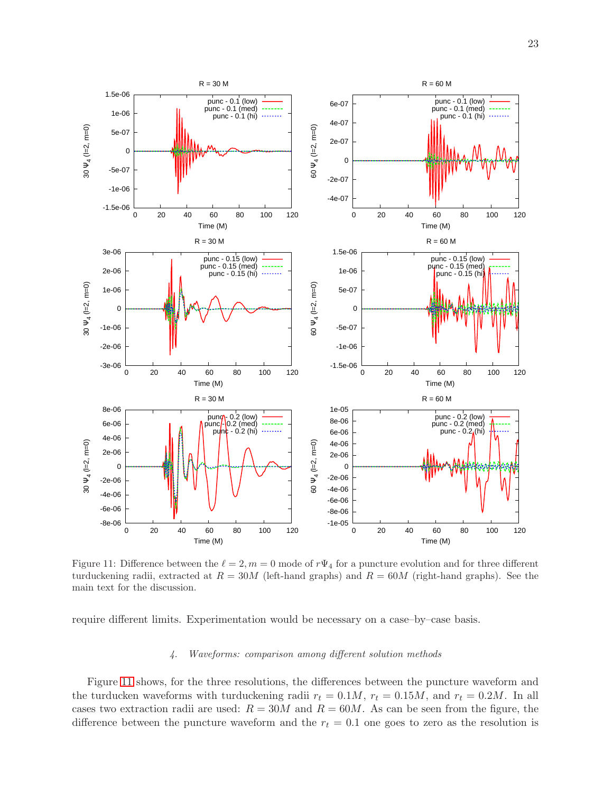<span id="page-23-0"></span>

Figure 11: Difference between the  $\ell = 2, m = 0$  mode of  $r\Psi_4$  for a puncture evolution and for three different turduckening radii, extracted at  $R = 30M$  (left-hand graphs) and  $R = 60M$  (right-hand graphs). See the main text for the discussion.

require different limits. Experimentation would be necessary on a case–by–case basis.

### 4. Waveforms: comparison among different solution methods

Figure [11](#page-23-0) shows, for the three resolutions, the differences between the puncture waveform and the turducken waveforms with turduckening radii  $r_t = 0.1M$ ,  $r_t = 0.15M$ , and  $r_t = 0.2M$ . In all cases two extraction radii are used:  $R = 30M$  and  $R = 60M$ . As can be seen from the figure, the difference between the puncture waveform and the  $r_t = 0.1$  one goes to zero as the resolution is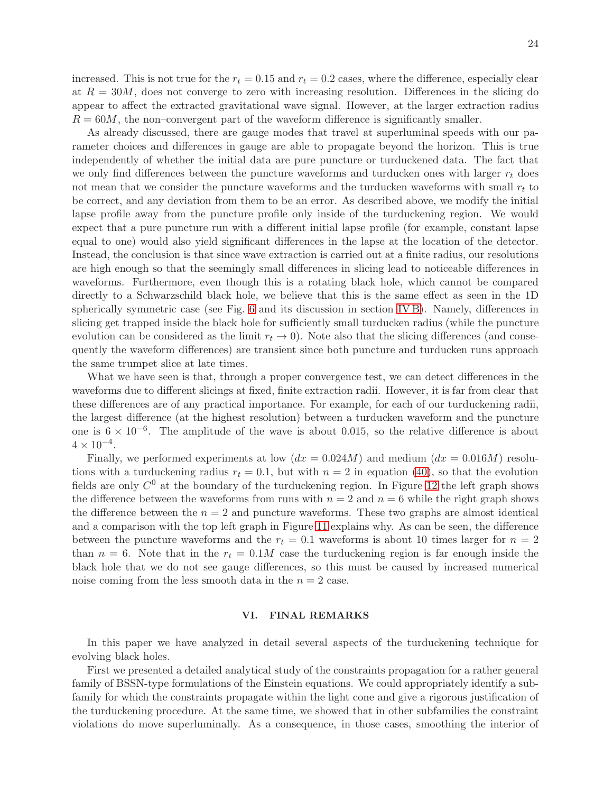increased. This is not true for the  $r_t = 0.15$  and  $r_t = 0.2$  cases, where the difference, especially clear at  $R = 30M$ , does not converge to zero with increasing resolution. Differences in the slicing do appear to affect the extracted gravitational wave signal. However, at the larger extraction radius  $R = 60M$ , the non–convergent part of the waveform difference is significantly smaller.

As already discussed, there are gauge modes that travel at superluminal speeds with our parameter choices and differences in gauge are able to propagate beyond the horizon. This is true independently of whether the initial data are pure puncture or turduckened data. The fact that we only find differences between the puncture waveforms and turducken ones with larger  $r_t$  does not mean that we consider the puncture waveforms and the turducken waveforms with small  $r_t$  to be correct, and any deviation from them to be an error. As described above, we modify the initial lapse profile away from the puncture profile only inside of the turduckening region. We would expect that a pure puncture run with a different initial lapse profile (for example, constant lapse equal to one) would also yield significant differences in the lapse at the location of the detector. Instead, the conclusion is that since wave extraction is carried out at a finite radius, our resolutions are high enough so that the seemingly small differences in slicing lead to noticeable differences in waveforms. Furthermore, even though this is a rotating black hole, which cannot be compared directly to a Schwarzschild black hole, we believe that this is the same effect as seen in the 1D spherically symmetric case (see Fig. [6](#page-17-0) and its discussion in section [IV B\)](#page-13-1). Namely, differences in slicing get trapped inside the black hole for sufficiently small turducken radius (while the puncture evolution can be considered as the limit  $r_t \to 0$ ). Note also that the slicing differences (and consequently the waveform differences) are transient since both puncture and turducken runs approach the same trumpet slice at late times.

What we have seen is that, through a proper convergence test, we can detect differences in the waveforms due to different slicings at fixed, finite extraction radii. However, it is far from clear that these differences are of any practical importance. For example, for each of our turduckening radii, the largest difference (at the highest resolution) between a turducken waveform and the puncture one is  $6 \times 10^{-6}$ . The amplitude of the wave is about 0.015, so the relative difference is about  $4 \times 10^{-4}$ .

Finally, we performed experiments at low  $(dx = 0.024M)$  and medium  $(dx = 0.016M)$  resolutions with a turduckening radius  $r_t = 0.1$ , but with  $n = 2$  in equation [\(40\)](#page-18-2), so that the evolution fields are only  $C^0$  at the boundary of the turduckening region. In Figure [12](#page-25-0) the left graph shows the difference between the waveforms from runs with  $n = 2$  and  $n = 6$  while the right graph shows the difference between the  $n = 2$  and puncture waveforms. These two graphs are almost identical and a comparison with the top left graph in Figure [11](#page-23-0) explains why. As can be seen, the difference between the puncture waveforms and the  $r_t = 0.1$  waveforms is about 10 times larger for  $n = 2$ than  $n = 6$ . Note that in the  $r_t = 0.1M$  case the turduckening region is far enough inside the black hole that we do not see gauge differences, so this must be caused by increased numerical noise coming from the less smooth data in the  $n = 2$  case.

### <span id="page-24-0"></span>VI. FINAL REMARKS

In this paper we have analyzed in detail several aspects of the turduckening technique for evolving black holes.

First we presented a detailed analytical study of the constraints propagation for a rather general family of BSSN-type formulations of the Einstein equations. We could appropriately identify a subfamily for which the constraints propagate within the light cone and give a rigorous justification of the turduckening procedure. At the same time, we showed that in other subfamilies the constraint violations do move superluminally. As a consequence, in those cases, smoothing the interior of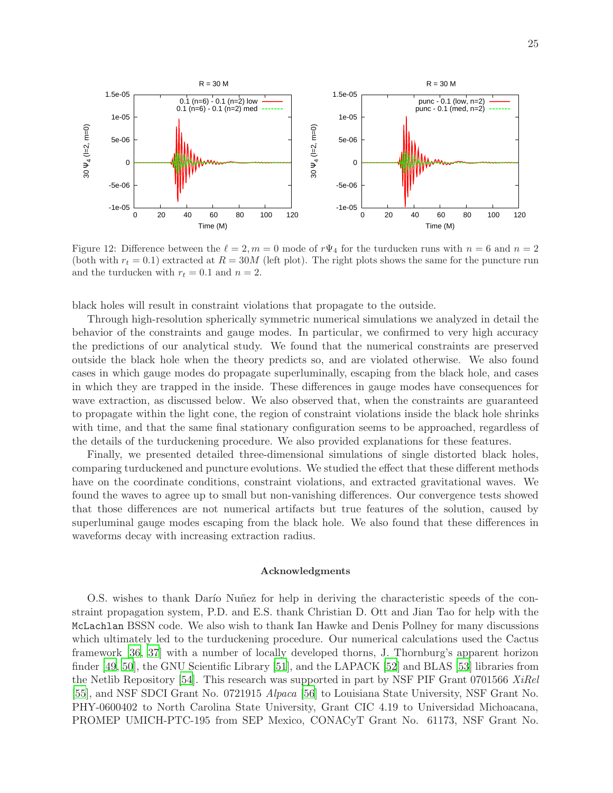<span id="page-25-0"></span>

Figure 12: Difference between the  $\ell = 2, m = 0$  mode of  $r\Psi_4$  for the turducken runs with  $n = 6$  and  $n = 2$ (both with  $r_t = 0.1$ ) extracted at  $R = 30M$  (left plot). The right plots shows the same for the puncture run and the turducken with  $r_t = 0.1$  and  $n = 2$ .

black holes will result in constraint violations that propagate to the outside.

Through high-resolution spherically symmetric numerical simulations we analyzed in detail the behavior of the constraints and gauge modes. In particular, we confirmed to very high accuracy the predictions of our analytical study. We found that the numerical constraints are preserved outside the black hole when the theory predicts so, and are violated otherwise. We also found cases in which gauge modes do propagate superluminally, escaping from the black hole, and cases in which they are trapped in the inside. These differences in gauge modes have consequences for wave extraction, as discussed below. We also observed that, when the constraints are guaranteed to propagate within the light cone, the region of constraint violations inside the black hole shrinks with time, and that the same final stationary configuration seems to be approached, regardless of the details of the turduckening procedure. We also provided explanations for these features.

Finally, we presented detailed three-dimensional simulations of single distorted black holes, comparing turduckened and puncture evolutions. We studied the effect that these different methods have on the coordinate conditions, constraint violations, and extracted gravitational waves. We found the waves to agree up to small but non-vanishing differences. Our convergence tests showed that those differences are not numerical artifacts but true features of the solution, caused by superluminal gauge modes escaping from the black hole. We also found that these differences in waveforms decay with increasing extraction radius.

### Acknowledgments

O.S. wishes to thank Darío Nuñez for help in deriving the characteristic speeds of the constraint propagation system, P.D. and E.S. thank Christian D. Ott and Jian Tao for help with the McLachlan BSSN code. We also wish to thank Ian Hawke and Denis Pollney for many discussions which ultimately led to the turduckening procedure. Our numerical calculations used the Cactus framework [\[36](#page-27-13), [37](#page-27-14)] with a number of locally developed thorns, J. Thornburg's apparent horizon finder [\[49](#page-28-0), [50](#page-28-1)], the GNU Scientific Library [\[51](#page-28-2)], and the LAPACK [\[52\]](#page-28-3) and BLAS [\[53\]](#page-28-4) libraries from the Netlib Repository [\[54](#page-28-5)]. This research was supported in part by NSF PIF Grant 0701566 XiRel [\[55\]](#page-28-6), and NSF SDCI Grant No. 0721915 Alpaca [\[56](#page-28-7)] to Louisiana State University, NSF Grant No. PHY-0600402 to North Carolina State University, Grant CIC 4.19 to Universidad Michoacana, PROMEP UMICH-PTC-195 from SEP Mexico, CONACyT Grant No. 61173, NSF Grant No.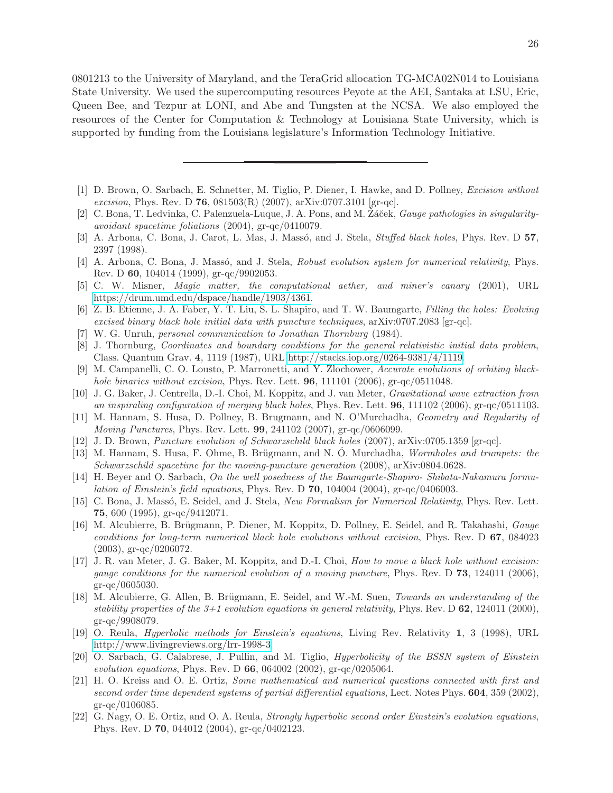0801213 to the University of Maryland, and the TeraGrid allocation TG-MCA02N014 to Louisiana State University. We used the supercomputing resources Peyote at the AEI, Santaka at LSU, Eric, Queen Bee, and Tezpur at LONI, and Abe and Tungsten at the NCSA. We also employed the resources of the Center for Computation & Technology at Louisiana State University, which is supported by funding from the Louisiana legislature's Information Technology Initiative.

- <span id="page-26-0"></span>[1] D. Brown, O. Sarbach, E. Schnetter, M. Tiglio, P. Diener, I. Hawke, and D. Pollney, Excision without excision, Phys. Rev. D 76,  $081503(R)$  (2007), arXiv:0707.3101 [gr-qc].
- <span id="page-26-1"></span>[2] C. Bona, T. Ledvinka, C. Palenzuela-Luque, J. A. Pons, and M. Žáček, *Gauge pathologies in singularity*avoidant spacetime foliations (2004), gr-qc/0410079.
- <span id="page-26-2"></span>[3] A. Arbona, C. Bona, J. Carot, L. Mas, J. Massó, and J. Stela, *Stuffed black holes*, Phys. Rev. D 57, 2397 (1998).
- <span id="page-26-3"></span>[4] A. Arbona, C. Bona, J. Massó, and J. Stela, *Robust evolution system for numerical relativity*, Phys. Rev. D 60, 104014 (1999), gr-qc/9902053.
- <span id="page-26-4"></span>[5] C. W. Misner, Magic matter, the computational aether, and miner's canary (2001), URL [https://drum.umd.edu/dspace/handle/1903/4361.](https://drum.umd.edu/dspace/handle/1903/4361)
- <span id="page-26-5"></span>[6] Z. B. Etienne, J. A. Faber, Y. T. Liu, S. L. Shapiro, and T. W. Baumgarte, Filling the holes: Evolving excised binary black hole initial data with puncture techniques,  $\ar{ax}$ iv:0707.2083  $\left| \text{gr-qc} \right|$ .
- <span id="page-26-6"></span>[7] W. G. Unruh, personal communication to Jonathan Thornburg (1984).
- <span id="page-26-7"></span>[8] J. Thornburg, Coordinates and boundary conditions for the general relativistic initial data problem, Class. Quantum Grav. 4, 1119 (1987), URL [http://stacks.iop.org/0264-9381/4/1119.](http://stacks.iop.org/0264-9381/4/1119)
- <span id="page-26-8"></span>[9] M. Campanelli, C. O. Lousto, P. Marronetti, and Y. Zlochower, Accurate evolutions of orbiting blackhole binaries without excision, Phys. Rev. Lett. **96**, 111101 (2006), gr-qc/0511048.
- <span id="page-26-9"></span>[10] J. G. Baker, J. Centrella, D.-I. Choi, M. Koppitz, and J. van Meter, Gravitational wave extraction from an inspiraling configuration of merging black holes, Phys. Rev. Lett.  $96$ , 111102 (2006), gr-qc/0511103.
- <span id="page-26-10"></span>[11] M. Hannam, S. Husa, D. Pollney, B. Brugmann, and N. O'Murchadha, Geometry and Regularity of Moving Punctures, Phys. Rev. Lett. 99, 241102 (2007), gr-qc/0606099.
- <span id="page-26-11"></span>[12] J. D. Brown, Puncture evolution of Schwarzschild black holes (2007), arXiv:0705.1359 [gr-qc].
- <span id="page-26-12"></span>[13] M. Hannam, S. Husa, F. Ohme, B. Brügmann, and N. O. Murchadha, *Wormholes and trumpets: the* Schwarzschild spacetime for the moving-puncture generation (2008), arXiv:0804.0628.
- <span id="page-26-13"></span>[14] H. Beyer and O. Sarbach, On the well posedness of the Baumgarte-Shapiro- Shibata-Nakamura formulation of Einstein's field equations, Phys. Rev. D  $70$ , 104004 (2004), gr-qc/0406003.
- <span id="page-26-14"></span>[15] C. Bona, J. Massó, E. Seidel, and J. Stela, New Formalism for Numerical Relativity, Phys. Rev. Lett. 75, 600 (1995), gr-qc/9412071.
- <span id="page-26-15"></span>[16] M. Alcubierre, B. Brügmann, P. Diener, M. Koppitz, D. Pollney, E. Seidel, and R. Takahashi, *Gauge* conditions for long-term numerical black hole evolutions without excision, Phys. Rev. D 67, 084023 (2003), gr-qc/0206072.
- <span id="page-26-16"></span>[17] J. R. van Meter, J. G. Baker, M. Koppitz, and D.-I. Choi, How to move a black hole without excision: gauge conditions for the numerical evolution of a moving puncture, Phys. Rev. D 73, 124011 (2006), gr-qc/0605030.
- <span id="page-26-17"></span>[18] M. Alcubierre, G. Allen, B. Brügmann, E. Seidel, and W.-M. Suen, *Towards an understanding of the* stability properties of the  $3+1$  evolution equations in general relativity, Phys. Rev. D 62, 124011 (2000), gr-qc/9908079.
- <span id="page-26-18"></span>[19] O. Reula, Hyperbolic methods for Einstein's equations, Living Rev. Relativity 1, 3 (1998), URL [http://www.livingreviews.org/lrr-1998-3.](http://www.livingreviews.org/lrr-1998-3)
- <span id="page-26-19"></span>[20] O. Sarbach, G. Calabrese, J. Pullin, and M. Tiglio, *Hyperbolicity of the BSSN system of Einstein* evolution equations, Phys. Rev. D  $66, 064002$  (2002), gr-qc/0205064.
- <span id="page-26-20"></span>[21] H. O. Kreiss and O. E. Ortiz, Some mathematical and numerical questions connected with first and second order time dependent systems of partial differential equations, Lect. Notes Phys. **604**, 359 (2002), gr-qc/0106085.
- <span id="page-26-21"></span>[22] G. Nagy, O. E. Ortiz, and O. A. Reula, Strongly hyperbolic second order Einstein's evolution equations, Phys. Rev. D 70, 044012 (2004), gr-qc/0402123.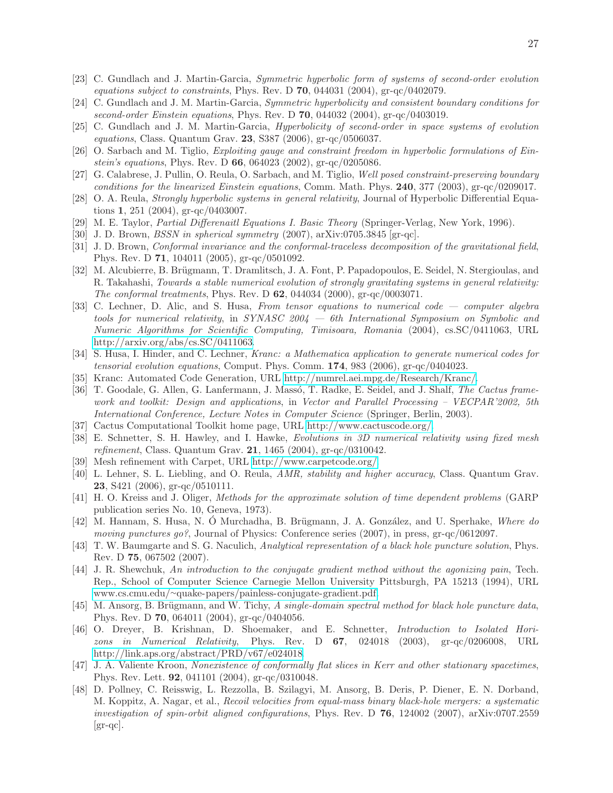- <span id="page-27-0"></span>[23] C. Gundlach and J. Martin-Garcia, Symmetric hyperbolic form of systems of second-order evolution equations subject to constraints, Phys. Rev. D  $70$ , 044031 (2004), gr-qc/0402079.
- <span id="page-27-1"></span>[24] C. Gundlach and J. M. Martin-Garcia, Symmetric hyperbolicity and consistent boundary conditions for second-order Einstein equations, Phys. Rev. D 70, 044032 (2004), gr-qc/0403019.
- <span id="page-27-2"></span>[25] C. Gundlach and J. M. Martin-Garcia, Hyperbolicity of second-order in space systems of evolution equations, Class. Quantum Grav. 23, S387 (2006), gr-qc/0506037.
- <span id="page-27-3"></span>[26] O. Sarbach and M. Tiglio, Exploiting gauge and constraint freedom in hyperbolic formulations of Einstein's equations, Phys. Rev. D 66, 064023 (2002), gr-qc/0205086.
- <span id="page-27-4"></span>[27] G. Calabrese, J. Pullin, O. Reula, O. Sarbach, and M. Tiglio, Well posed constraint-preserving boundary conditions for the linearized Einstein equations, Comm. Math. Phys.  $240$ , 377 (2003), gr-qc/0209017.
- <span id="page-27-5"></span>[28] O. A. Reula, Strongly hyperbolic systems in general relativity, Journal of Hyperbolic Differential Equations 1, 251 (2004), gr-qc/0403007.
- <span id="page-27-6"></span>[29] M. E. Taylor, Partial Differenaitl Equations I. Basic Theory (Springer-Verlag, New York, 1996).
- <span id="page-27-7"></span>[30] J. D. Brown, *BSSN in spherical symmetry*  $(2007)$ ,  $arXiv:0705.3845$  [gr-qc].
- <span id="page-27-8"></span>[31] J. D. Brown, Conformal invariance and the conformal-traceless decomposition of the gravitational field, Phys. Rev. D 71, 104011 (2005), gr-qc/0501092.
- <span id="page-27-9"></span>[32] M. Alcubierre, B. Brügmann, T. Dramlitsch, J. A. Font, P. Papadopoulos, E. Seidel, N. Stergioulas, and R. Takahashi, Towards a stable numerical evolution of strongly gravitating systems in general relativity: The conformal treatments, Phys. Rev. D 62, 044034 (2000), gr-qc/0003071.
- <span id="page-27-10"></span>[33] C. Lechner, D. Alic, and S. Husa, From tensor equations to numerical code — computer algebra tools for numerical relativity, in SYNASC 2004 — 6th International Symposium on Symbolic and Numeric Algorithms for Scientific Computing, Timisoara, Romania (2004), cs.SC/0411063, URL [http://arxiv.org/abs/cs.SC/0411063.](http://arxiv.org/abs/cs.SC/0411063)
- <span id="page-27-11"></span>[34] S. Husa, I. Hinder, and C. Lechner, Kranc: a Mathematica application to generate numerical codes for tensorial evolution equations, Comput. Phys. Comm. 174, 983 (2006), gr-qc/0404023.
- <span id="page-27-12"></span>[35] Kranc: Automated Code Generation, URL [http://numrel.aei.mpg.de/Research/Kranc/.](http://numrel.aei.mpg.de/Research/Kranc/)
- <span id="page-27-13"></span>[36] T. Goodale, G. Allen, G. Lanfermann, J. Massó, T. Radke, E. Seidel, and J. Shalf, The Cactus framework and toolkit: Design and applications, in Vector and Parallel Processing – VECPAR'2002, 5th International Conference, Lecture Notes in Computer Science (Springer, Berlin, 2003).
- <span id="page-27-14"></span>[37] Cactus Computational Toolkit home page, URL [http://www.cactuscode.org/.](http://www.cactuscode.org/)
- <span id="page-27-15"></span>[38] E. Schnetter, S. H. Hawley, and I. Hawke, Evolutions in 3D numerical relativity using fixed mesh refinement, Class. Quantum Grav. 21, 1465 (2004), gr-qc/0310042.
- <span id="page-27-16"></span>[39] Mesh refinement with Carpet, URL [http://www.carpetcode.org/.](http://www.carpetcode.org/)
- <span id="page-27-17"></span>[40] L. Lehner, S. L. Liebling, and O. Reula, AMR, stability and higher accuracy, Class. Quantum Grav. **23**, S421 (2006), gr-qc/0510111.
- <span id="page-27-18"></span>[41] H. O. Kreiss and J. Oliger, Methods for the approximate solution of time dependent problems (GARP publication series No. 10, Geneva, 1973).
- <span id="page-27-19"></span>[42] M. Hannam, S. Husa, N. Ó Murchadha, B. Brügmann, J. A. González, and U. Sperhake, Where do moving punctures go?, Journal of Physics: Conference series (2007), in press, gr-qc/0612097.
- <span id="page-27-20"></span>[43] T. W. Baumgarte and S. G. Naculich, Analytical representation of a black hole puncture solution, Phys. Rev. D 75, 067502 (2007).
- <span id="page-27-21"></span>[44] J. R. Shewchuk, An introduction to the conjugate gradient method without the agonizing pain, Tech. Rep., School of Computer Science Carnegie Mellon University Pittsburgh, PA 15213 (1994), URL www.cs.cmu.edu/∼[quake-papers/painless-conjugate-gradient.pdf.](www.cs.cmu.edu/~quake-papers/ painless-conjugate-gradient.pdf)
- <span id="page-27-22"></span>[45] M. Ansorg, B. Brügmann, and W. Tichy, A single-domain spectral method for black hole puncture data, Phys. Rev. D 70, 064011 (2004), gr-qc/0404056.
- <span id="page-27-23"></span>[46] O. Dreyer, B. Krishnan, D. Shoemaker, and E. Schnetter, Introduction to Isolated Horizons in Numerical Relativity, Phys. Rev. D  $67$ , 024018 (2003), gr-qc/0206008, URL [http://link.aps.org/abstract/PRD/v67/e024018.](http://link.aps.org/abstract/PRD/v67/e024018)
- <span id="page-27-24"></span>[47] J. A. Valiente Kroon, Nonexistence of conformally flat slices in Kerr and other stationary spacetimes, Phys. Rev. Lett. 92, 041101 (2004), gr-qc/0310048.
- <span id="page-27-25"></span>[48] D. Pollney, C. Reisswig, L. Rezzolla, B. Szilagyi, M. Ansorg, B. Deris, P. Diener, E. N. Dorband, M. Koppitz, A. Nagar, et al., Recoil velocities from equal-mass binary black-hole mergers: a systematic investigation of spin-orbit aligned configurations, Phys. Rev. D  $76$ ,  $124002$  (2007), arXiv:0707.2559 [gr-qc].